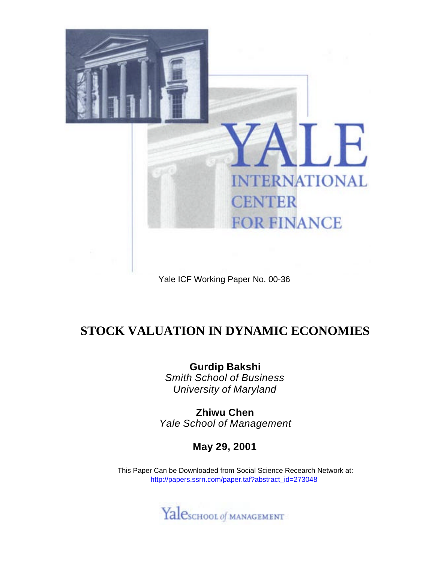

Yale ICF Working Paper No. 00-36

#### **STOCK VALUATION IN DYNAMIC ECONOMIES**

**Gurdip Bakshi** *Smith School of Business University of Maryland*

**Zhiwu Chen** *Yale School of Management*

#### **May 29, 2001**

This Paper Can be Downloaded from Social Science Recearch Network at: [http://papers.ssrn.com/paper.taf?abstract\\_id=273048](http://papers.ssrn.com/paper.taf?abstract_id=273048)

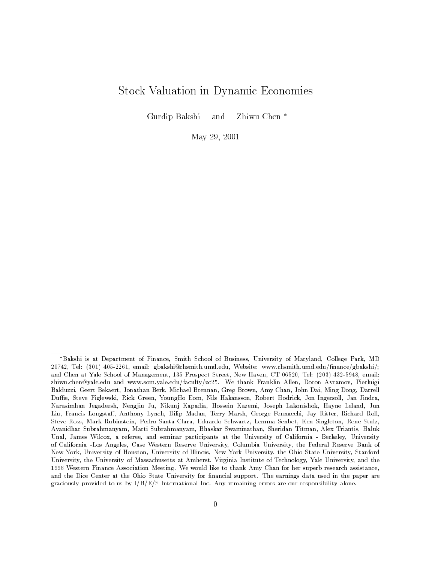#### Stock Valuation in Dynamic Economies

Gurdip Bakshi and Zhiwu Chen

May 29, 2001

Bakshi is at Department of Finance, Smith School of Business, University of Maryland, College Park, MD 20742, Tel: (301) 405-2261, email: gbakshi@rhsmith.umd.edu, Website: www.rhsmith.umd.edu/nance/gbakshi/; and Chen at Yale School of Management, 135 Prospect Street, New Haven, CT 06520, Tel: (203) 432-5948, email: zhiwu.chen@yale.edu and www.som.yale.edu/faculty/zc25. We thank Franklin Allen, Doron Avramov, Pierluigi Balduzzi, Geert Bekaert, Jonathan Berk, Michael Brennan, Greg Brown, Amy Chan, John Dai, Ming Dong, Darrell Duffie, Steve Figlewski, Rick Green, YoungHo Eom, Nils Hakansson, Robert Hodrick, Jon Ingersoll, Jan Jindra, Narasimhan Jegadeesh, Nengjiu Ju, Nikunj Kapadia, Hossein Kazemi, Joseph Lakonishok, Hayne Leland, Jun Liu, Francis Longstaff, Anthony Lynch, Dilip Madan, Terry Marsh, George Pennacchi, Jay Ritter, Richard Roll, Steve Ross, Mark Rubinstein, Pedro Santa-Clara, Eduardo Schwartz, Lemma Senbet, Ken Singleton, Rene Stulz, Avanidhar Subrahmanyam, Marti Subrahmanyam, Bhaskar Swaminathan, Sheridan Titman, Alex Triantis, Haluk Unal, James Wilcox, a referee, and seminar participants at the University of California - Berkeley, University of California -Los Angeles, Case Western Reserve University, Columbia University, the Federal Reserve Bank of New York, University of Houston, University of Illinois, New York University, the Ohio State University, Stanford University, the University of Massachusetts at Amherst, Virginia Institute of Technology, Yale University, and the 1998 Western Finance Association Meeting. We would like to thank Amy Chan for her superb research assistance, and the Dice Center at the Ohio State University for financial support. The earnings data used in the paper are graciously provided to us by  $I/B/E/S$  International Inc. Any remaining errors are our responsibility alone.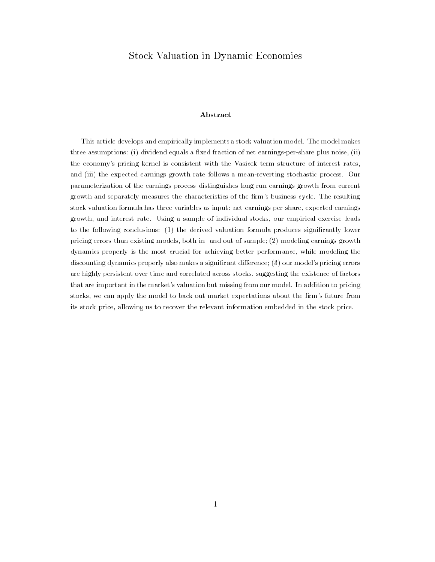#### Stock Valuation in Dynamic Economies

#### Abstract

This article develops and empirically implements a stock valuation model. The model makesthree assumptions: (i) dividend equals a fixed fraction of net earnings-per-share plus noise, (ii) the economy's pricing kernel is consistent with the Vasicek term structure of interest rates,and (iii) the expected earnings growth rate follows a mean-reverting stochastic process. Ourparameterization of the earnings process distinguishes long-run earnings growth from currentgrowth and separately measures the characteristics of the firm's business cycle. The resulting stock valuation formula has three variables as input: net earnings-per-share, expected earningsgrowth, and interest rate. Using a sample of individual stocks, our empirical exercise leadsto the following conclusions: (1) the derived valuation formula produces signicantly lowerpricing errors than existing models, both in- and out-of-sample; (2) modeling earnings growthdynamics properly is the most crucial for achieving better performance, while modeling thediscounting dynamics properly also makes a significant difference; (3) our model's pricing errors are highly persistent over time and correlated across stocks, suggesting the existence of factorsthat are important in the market's valuation but missing from our model. In addition to pricingstocks, we can apply the model to back out market expectations about the firm's future from its stock price, allowing us to recover the relevant information embedded in the stock price.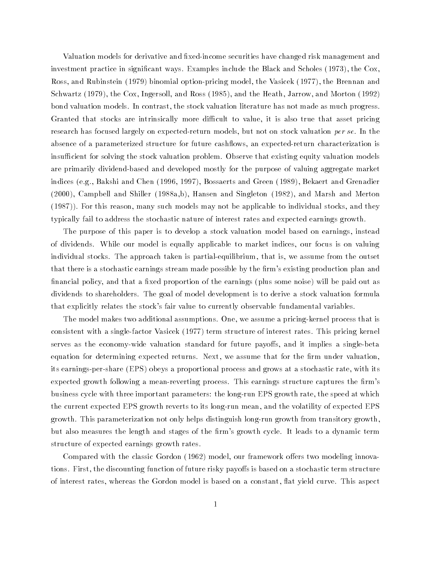Valuation models for derivative and fixed-income securities have changed risk management and investment practice in significant ways. Examples include the Black and Scholes (1973), the Cox, Ross, and Rubinstein (1979) binomial option-pricing model, the Vasicek (1977), the Brennan and Schwartz (1979), the Cox, Ingersoll, and Ross (1985), and the Heath, Jarrow, and Morton (1992) bond valuation models. In contrast, the stock valuation literature has not made as much progress. Granted that stocks are intrinsically more difficult to value, it is also true that asset pricing research has focused largely on expected-return models, but not on stock valuation per se. In the absence of a parameterized structure for future cash
ows, an expected-return characterization is insufficient for solving the stock valuation problem. Observe that existing equity valuation models are primarily dividend-based and developed mostly for the purpose of valuing aggregate market indices (e.g., Bakshi and Chen (1996, 1997), Bossaerts and Green (1989), Bekaert and Grenadier (2000), Campbell and Shiller (1988a,b), Hansen and Singleton (1982), and Marsh and Merton (1987)). For this reason, many such models may not be applicable to individual stocks, and they typically fail to address the stochastic nature of interest rates and expected earnings growth.

The purpose of this paper is to develop a stock valuation model based on earnings, instead of dividends. While our model is equally applicable to market indices, our focus is on valuing individual stocks. The approach taken is partial-equilibrium, that is, we assume from the outset that there is a stochastic earnings stream made possible by the firm's existing production plan and financial policy, and that a fixed proportion of the earnings (plus some noise) will be paid out as dividends to shareholders. The goal of model development is to derive a stock valuation formula that explicitly relates the stock's fair value to currently observable fundamental variables.

The model makes two additional assumptions. One, we assume a pricing-kernel process that is consistent with a single-factor Vasicek (1977) term structure of interest rates. This pricing kernel serves as the economy-wide valuation standard for future payoffs, and it implies a single-beta equation for determining expected returns. Next, we assume that for the firm under valuation, its earnings-per-share (EPS) obeys a proportional process and grows at a stochastic rate, with its expected growth following a mean-reverting process. This earnings structure captures the firm's business cycle with three important parameters: the long-run EPS growth rate, the speed at which the current expected EPS growth reverts to its long-run mean, and the volatility of expected EPS growth. This parameterization not only helps distinguish long-run growth from transitory growth, but also measures the length and stages of the firm's growth cycle. It leads to a dynamic term structure of expected earnings growth rates.

Compared with the classic Gordon (1962) model, our framework offers two modeling innovations. First, the discounting function of future risky payoffs is based on a stochastic term structure of interest rates, whereas the Gordon model is based on a constant, flat yield curve. This aspect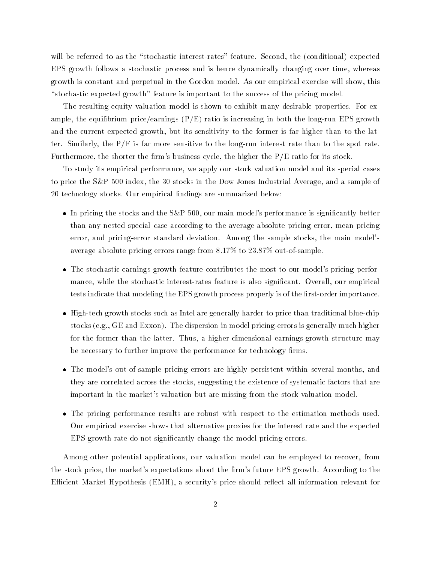will be referred to as the "stochastic interest-rates" feature. Second, the (conditional) expected EPS growth follows a stochastic process and is hence dynamically changing over time, whereas growth is constant and perpetual in the Gordon model. As our empirical exercise will show, this "stochastic expected growth" feature is important to the success of the pricing model.

The resulting equity valuation model is shown to exhibit many desirable properties. For example, the equilibrium price/earnings  $(P/E)$  ratio is increasing in both the long-run EPS growth and the current expected growth, but its sensitivity to the former is far higher than to the latter. Similarly, the  $P/E$  is far more sensitive to the long-run interest rate than to the spot rate. Furthermore, the shorter the firm's business cycle, the higher the  $P/E$  ratio for its stock.

To study its empirical performance, we apply our stock valuation model and its special cases to price the S&P 500 index, the 30 stocks in the Dow Jones Industrial Average, and a sample of 20 technology stocks. Our empirical ndings are summarized below:

- In pricing the stocks and the S&P 500, our main model's performance is significantly better than any nested special case according to the average absolute pricing error, mean pricing error, and pricing-error standard deviation. Among the sample stocks, the main model's average absolute pricing errors range from 8.17% to 23.87% out-of-sample.
- The stochastic earnings growth feature contributes the most to our model's pricing performance, while the stochastic interest-rates feature is also significant. Overall, our empirical tests indicate that modeling the EPS growth process properly is of the first-order importance.
- High-tech growth stocks such as Intel are generally harder to price than traditional blue-chip stocks (e.g., GE and Exxon). The dispersion in model pricing-errors is generally much higher for the former than the latter. Thus, a higher-dimensional earnings-growth structure may be necessary to further improve the performance for technology firms.
- The model's out-of-sample pricing errors are highly persistent within several months, and they are correlated across the stocks, suggesting the existence of systematic factors that are important in the market's valuation but are missing from the stock valuation model.
- The pricing performance results are robust with respect to the estimation methods used. Our empirical exercise shows that alternative proxies for the interest rate and the expected EPS growth rate do not signicantly change the model pricing errors.

Among other potential applications, our valuation model can be employed to recover, from the stock price, the market's expectations about the firm's future EPS growth. According to the Efficient Market Hypothesis (EMH), a security's price should reflect all information relevant for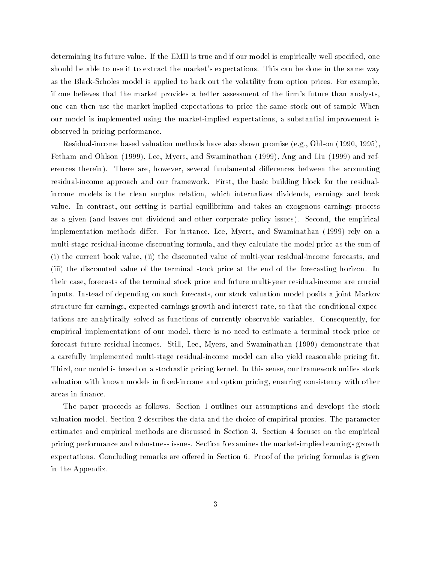determining its future value. If the EMH is true and if our model is empirically well-specied, one should be able to use it to extract the market's expectations. This can be done in the same way as the Black-Scholes model is applied to back out the volatility from option prices. For example, if one believes that the market provides a better assessment of the firm's future than analysts, one can then use the market-implied expectations to price the same stock out-of-sample When our model is implemented using the market-implied expectations, a substantial improvement is observed in pricing performance.

Residual-income based valuation methods have also shown promise (e.g., Ohlson (1990, 1995), Fetham and Ohlson (1999), Lee, Myers, and Swaminathan (1999), Ang and Liu (1999) and references therein). There are, however, several fundamental differences between the accounting residual-income approach and our framework. First, the basic building block for the residualincome models is the clean surplus relation, which internalizes dividends, earnings and book value. In contrast, our setting is partial equilibrium and takes an exogenous earnings process as a given (and leaves out dividend and other corporate policy issues). Second, the empirical implementation methods differ. For instance, Lee, Myers, and Swaminathan (1999) rely on a multi-stage residual-income discounting formula, and they calculate the model price as the sum of (i) the current book value, (ii) the discounted value of multi-year residual-income forecasts, and (iii) the discounted value of the terminal stock price at the end of the forecasting horizon. In their case, forecasts of the terminal stock price and future multi-year residual-income are crucial inputs. Instead of depending on such forecasts, our stock valuation model posits a joint Markov structure for earnings, expected earnings growth and interest rate, so that the conditional expectations are analytically solved as functions of currently observable variables. Consequently, for empirical implementations of our model, there is no need to estimate a terminal stock price or forecast future residual-incomes. Still, Lee, Myers, and Swaminathan (1999) demonstrate that a carefully implemented multi-stage residual-income model can also yield reasonable pricing fit. Third, our model is based on a stochastic pricing kernel. In this sense, our framework unifies stock valuation with known models in fixed-income and option pricing, ensuring consistency with other areas in finance.

The paper proceeds as follows. Section 1 outlines our assumptions and develops the stock valuation model. Section 2 describes the data and the choice of empirical proxies. The parameter estimates and empirical methods are discussed in Section 3. Section 4 focuses on the empirical pricing performance and robustness issues. Section 5 examines the market-implied earnings growth expectations. Concluding remarks are offered in Section 6. Proof of the pricing formulas is given in the Appendix.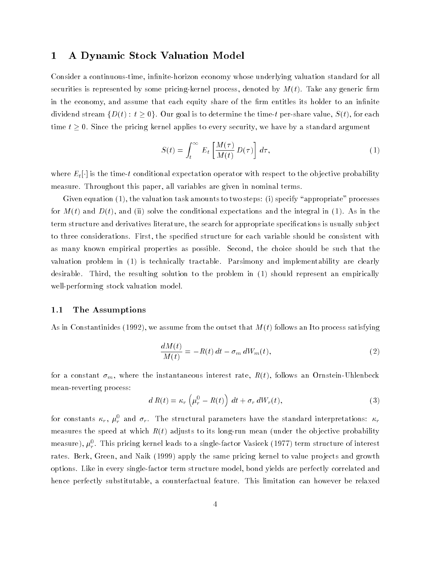#### 1 A Dynamic Stock Valuation Model

Consider a continuous-time, infinite-horizon economy whose underlying valuation standard for all securities is represented by some pricing-kernel process, denoted by  $M(t)$ . Take any generic firm in the economy, and assume that each equity share of the firm entitles its holder to an infinite dividend stream  $\{D(t): t \geq 0\}$ . Our goal is to determine the time-t per-share value,  $S(t)$ , for each time  $t \geq 0$ . Since the pricing kernel applies to every security, we have by a standard argument

$$
S(t) = \int_{t}^{\infty} E_t \left[ \frac{M(\tau)}{M(t)} D(\tau) \right] d\tau,
$$
\n(1)

where  $E_t[\cdot]$  is the time-t conditional expectation operator with respect to the objective probability measure. Throughout this paper, all variables are given in nominal terms.

Given equation (1), the valuation task amounts to two steps: (i) specify "appropriate" processes for  $M(t)$  and  $D(t)$ , and (ii) solve the conditional expectations and the integral in (1). As in the term structure and derivatives literature, the search for appropriate specications is usually sub ject to three considerations. First, the specied structure for each variable should be consistent with as many known empirical properties as possible. Second, the choice should be such that the valuation problem in (1) is technically tractable. Parsimony and implementability are clearly desirable. Third, the resulting solution to the problem in (1) should represent an empirically well-performing stock valuation model.

#### 1.1 The Assumptions

As in Constantinides (1992), we assume from the outset that  $M(t)$  follows an Ito process satisfying

$$
\frac{dM(t)}{M(t)} = -R(t) dt - \sigma_m dW_m(t),
$$
\n(2)

for a constant  $\sigma_m$ , where the instantaneous interest rate,  $R(t)$ , follows an Ornstein-Uhlenbeck mean-reverting process:

$$
d R(t) = \kappa_r \left(\mu_r^0 - R(t)\right) dt + \sigma_r dW_r(t), \qquad (3)
$$

for constants  $\kappa_r, \; \mu_r^*$  and  $\sigma_r.$  The structural parameters have the standard interpretations:  $\kappa_r$ measures the speed at which  $R(t)$  adjusts to its long-run mean (under the objective probability measure),  $\mu_r^*$  . This pricing kernel leads to a single-factor vasicek (1977) term structure of interest rates. Berk, Green, and Naik (1999) apply the same pricing kernel to value projects and growth options. Like in every single-factor term structure model, bond yields are perfectly correlated and hence perfectly substitutable, a counterfactual feature. This limitation can however be relaxed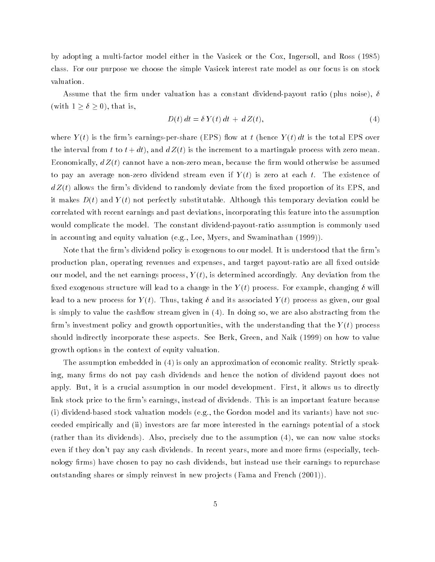by adopting a multi-factor model either in the Vasicek or the Cox, Ingersoll, and Ross (1985) class. For our purpose we choose the simple Vasicek interest rate model as our focus is on stock valuation.

Assume that the firm under valuation has a constant dividend-payout ratio (plus noise),  $\delta$ (with  $1 \geq \delta \geq 0$ ), that is,

$$
D(t) dt = \delta Y(t) dt + d Z(t),
$$
\n(4)

where  $Y(t)$  is the firm's earnings-per-share (EPS) flow at t (hence  $Y(t) dt$  is the total EPS over the interval from t to  $t + dt$ , and  $dZ(t)$  is the increment to a martingale process with zero mean. Economically,  $dZ(t)$  cannot have a non-zero mean, because the firm would otherwise be assumed to pay an average non-zero dividend stream even if  $Y(t)$  is zero at each t. The existence of  $dZ(t)$  allows the firm's dividend to randomly deviate from the fixed proportion of its EPS, and it makes  $D(t)$  and  $Y(t)$  not perfectly substitutable. Although this temporary deviation could be correlated with recent earnings and past deviations, incorporating this feature into the assumption would complicate the model. The constant dividend-payout-ratio assumption is commonly used in accounting and equity valuation (e.g., Lee, Myers, and Swaminathan (1999)).

Note that the firm's dividend policy is exogenous to our model. It is understood that the firm's production plan, operating revenues and expenses, and target payout-ratio are all fixed outside our model, and the net earnings process,  $Y(t)$ , is determined accordingly. Any deviation from the fixed exogenous structure will lead to a change in the  $Y(t)$  process. For example, changing  $\delta$  will lead to a new process for  $Y(t)$ . Thus, taking  $\delta$  and its associated  $Y(t)$  process as given, our goal is simply to value the cashflow stream given in (4). In doing so, we are also abstracting from the firm's investment policy and growth opportunities, with the understanding that the  $Y(t)$  process should indirectly incorporate these aspects. See Berk, Green, and Naik (1999) on how to value growth options in the context of equity valuation.

The assumption embedded in (4) is only an approximation of economic reality. Strictly speaking, many firms do not pay cash dividends and hence the notion of dividend payout does not apply. But, it is a crucial assumption in our model development. First, it allows us to directly link stock price to the firm's earnings, instead of dividends. This is an important feature because (i) dividend-based stock valuation models (e.g., the Gordon model and its variants) have not succeeded empirically and (ii) investors are far more interested in the earnings potential of a stock (rather than its dividends). Also, precisely due to the assumption (4), we can now value stocks even if they don't pay any cash dividends. In recent years, more and more firms (especially, technology firms) have chosen to pay no cash dividends, but instead use their earnings to repurchase outstanding shares or simply reinvest in new pro jects (Fama and French (2001)).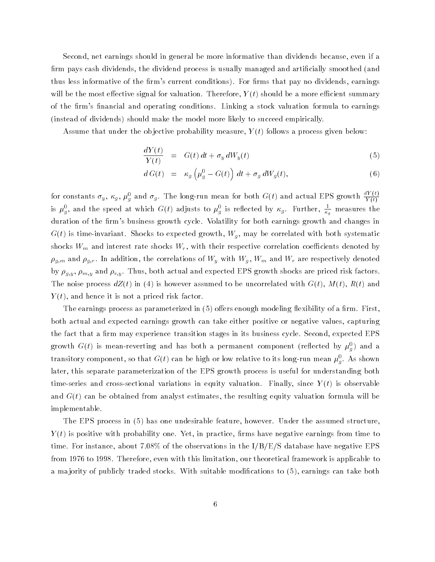Second, net earnings should in general be more informative than dividends because, even if a firm pays cash dividends, the dividend process is usually managed and artificially smoothed (and thus less informative of the firm's current conditions). For firms that pay no dividends, earnings will be the most effective signal for valuation. Therefore,  $Y(t)$  should be a more efficient summary of the firm's financial and operating conditions. Linking a stock valuation formula to earnings (instead of dividends) should make the model more likely to succeed empirically.

Assume that under the objective probability measure,  $Y(t)$  follows a process given below:

$$
\frac{dY(t)}{Y(t)} = G(t) dt + \sigma_y dW_y(t) \tag{5}
$$

$$
d G(t) = \kappa_g \left( \mu_g^0 - G(t) \right) dt + \sigma_g dW_g(t), \qquad (6)
$$

for constants  $\sigma_y, \, \kappa_g, \, \mu_g^o$  and  $\sigma_g$ . The long-run mean for both  $G(t)$  and actual EPS growth  $\frac{\leftrightarrow \infty}{Y(t)}$ is  $\mu_{\tilde{g}},$  and the speed at which  $G(t)$  adjusts to  $\mu_{\tilde{g}}$  is reflected by  $\kappa_g$ . Further,  $\frac{1}{\kappa_g}$  measures the duration of the firm's business growth cycle. Volatility for both earnings growth and changes in G(t) is time-invariant. Shocks to expected growth, Wg , may be correlated with both systematic with both systematic  $\mathbf{u}$ shocks Wm and interest rate shocks Wr , with their respective correlation coecients denoted by  $\mathcal{L}_{\mathcal{G}}$  . In addition, the correlation of Wy with Way with Way with  $\mathcal{U}_{\mathcal{G}}$  , we complete the correlation by g; and right and right actual and risk factors. Both actual and expected risk factors. In the price discussion of the price discussion of the price discussion of the price discussion of the price discussion of the pric The noise process  $dZ(t)$  in (4) is however assumed to be uncorrelated with  $G(t)$ ,  $M(t)$ ,  $R(t)$  and  $Y(t)$ , and hence it is not a priced risk factor.

The earnings process as parameterized in  $(5)$  offers enough modeling flexibility of a firm. First, both actual and expected earnings growth can take either positive or negative values, capturing the fact that a firm may experience transition stages in its business cycle. Second, expected EPS growth  $G(t)$  is mean-reverting and has both a permanent component (renected by  $\mu_g^-$ ) and a transitory component, so that  $G(t)$  can be high or low relative to its long-run mean  $\mu_{\tilde{q}}$ . As shown later, this separate parameterization of the EPS growth process is useful for understanding both time-series and cross-sectional variations in equity valuation. Finally, since  $Y(t)$  is observable and  $G(t)$  can be obtained from analyst estimates, the resulting equity valuation formula will be implementable.

The EPS process in (5) has one undesirable feature, however. Under the assumed structure,  $Y(t)$  is positive with probability one. Yet, in practice, firms have negative earnings from time to time. For instance, about 7.08% of the observations in the I/B/E/S database have negative EPS from 1976 to 1998. Therefore, even with this limitation, our theoretical framework is applicable to a majority of publicly traded stocks. With suitable modifications to (5), earnings can take both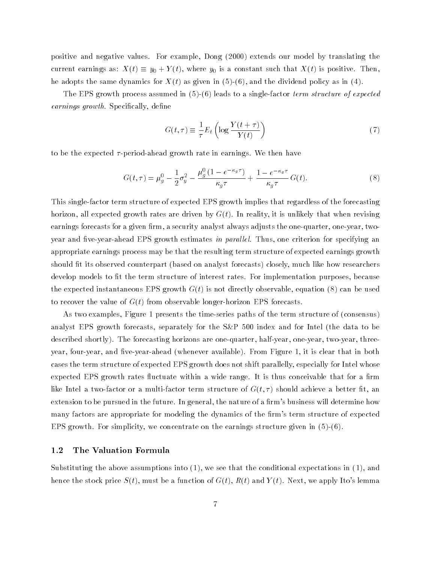positive and negative values. For example, Dong (2000) extends our model by translating the current earnings as:  $X(t) \equiv y_0 + Y(t)$ , where  $y_0$  is a constant such that  $X(t)$  is positive. Then, he adopts the same dynamics for  $X(t)$  as given in (5)-(6), and the dividend policy as in (4).

The EPS growth process assumed in  $(5)-(6)$  leads to a single-factor term structure of expected earnings growth. Specifically, define

$$
G(t,\tau) \equiv \frac{1}{\tau} E_t \left( \log \frac{Y(t+\tau)}{Y(t)} \right) \tag{7}
$$

to be the expected  $\tau$ -period-ahead growth rate in earnings. We then have

$$
G(t,\tau) = \mu_g^0 - \frac{1}{2}\sigma_y^2 - \frac{\mu_g^0 (1 - e^{-\kappa_g \tau})}{\kappa_g \tau} + \frac{1 - e^{-\kappa_g \tau}}{\kappa_g \tau} G(t).
$$
 (8)

This single-factor term structure of expected EPS growth implies that regardless of the forecasting horizon, all expected growth rates are driven by  $G(t)$ . In reality, it is unlikely that when revising earnings forecasts for a given firm, a security analyst always adjusts the one-quarter, one-year, twoyear and five-year-ahead EPS growth estimates in parallel. Thus, one criterion for specifying an appropriate earnings process may be that the resulting term structure of expected earnings growth should fit its observed counterpart (based on analyst forecasts) closely, much like how researchers develop models to fit the term structure of interest rates. For implementation purposes, because the expected instantaneous EPS growth  $G(t)$  is not directly observable, equation (8) can be used to recover the value of  $G(t)$  from observable longer-horizon EPS forecasts.

As two examples, Figure 1 presents the time-series paths of the term structure of (consensus) analyst EPS growth forecasts, separately for the S&P 500 index and for Intel (the data to be described shortly). The forecasting horizons are one-quarter, half-year, one-year, two-year, threeyear, four-year, and five-year-ahead (whenever available). From Figure 1, it is clear that in both cases the term structure of expected EPS growth does not shift parallelly, especially for Intel whose expected EPS growth rates fluctuate within a wide range. It is thus conceivable that for a firm like Intel a two-factor or a multi-factor term structure of  $G(t, \tau)$  should achieve a better fit, an extension to be pursued in the future. In general, the nature of a firm's business will determine how many factors are appropriate for modeling the dynamics of the firm's term structure of expected EPS growth. For simplicity, we concentrate on the earnings structure given in (5)-(6).

#### 1.2 The Valuation Formula

Substituting the above assumptions into  $(1)$ , we see that the conditional expectations in  $(1)$ , and hence the stock price  $S(t)$ , must be a function of  $G(t)$ ,  $R(t)$  and  $Y(t)$ . Next, we apply Ito's lemma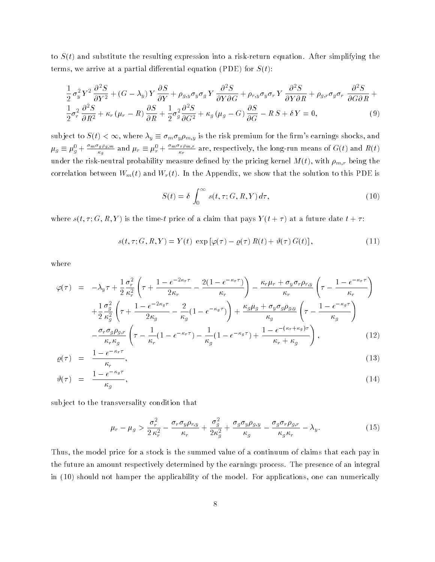to  $S(t)$  and substitute the resulting expression into a risk-return equation. After simplifying the terms, we arrive at a partial differential equation (PDE) for  $S(t)$ :

$$
\frac{1}{2}\sigma_y^2 Y^2 \frac{\partial^2 S}{\partial Y^2} + (G - \lambda_y) Y \frac{\partial S}{\partial Y} + \rho_{g,y} \sigma_y \sigma_g Y \frac{\partial^2 S}{\partial Y \partial G} + \rho_{r,y} \sigma_y \sigma_r Y \frac{\partial^2 S}{\partial Y \partial R} + \rho_{g,r} \sigma_g \sigma_r \frac{\partial^2 S}{\partial G \partial R} +
$$
  
1 -  $\partial^2 S$ 

$$
\frac{1}{2}\sigma_r^2 \frac{\partial^2 S}{\partial R^2} + \kappa_r \left(\mu_r - R\right) \frac{\partial S}{\partial R} + \frac{1}{2}\sigma_g^2 \frac{\partial^2 S}{\partial G^2} + \kappa_g \left(\mu_g - G\right) \frac{\partial S}{\partial G} - R S + \delta Y = 0,
$$
\n(9)

subject to  $S(t) < \infty$ , where  $\lambda_y \equiv \sigma_m \sigma_y \rho_{m,y}$  is the risk premium for the firm's earnings shocks, and  $\mu_g\equiv\mu_g^0+\frac{\sigma_m\sigma_g\rho_{g,m}}{\kappa_g}$  and  $\mu_r\equiv\mu_r^0+\frac{\sigma_m\sigma_r\rho_{m,r}}{\kappa_r}$  are, respectively, the long-run means of  $G(t)$  and  $R(t)$ under the risk-neutral probability measure density measure density measure density  $\mathbf{r}$ , with mass  $\mathbf{r}$ correlation between  $W_m(t)$  and  $W_r(t)$ . In the Appendix, we show that the solution to this PDE is

$$
S(t) = \delta \int_0^\infty s(t, \tau; G, R, Y) d\tau,
$$
\n(10)

where  $s(t, \tau; G, R, Y)$  is the time-t price of a claim that pays  $Y(t + \tau)$  at a future date  $t + \tau$ :

$$
s(t,\tau;G,R,Y) = Y(t) \exp\left[\varphi(\tau) - \varrho(\tau) R(t) + \vartheta(\tau) G(t)\right],\tag{11}
$$

where

$$
\varphi(\tau) = -\lambda_y \tau + \frac{1}{2} \frac{\sigma_r^2}{\kappa_r^2} \left( \tau + \frac{1 - e^{-2\kappa_r \tau}}{2\kappa_r} - \frac{2(1 - e^{-\kappa_r \tau})}{\kappa_r} \right) - \frac{\kappa_r \mu_r + \sigma_y \sigma_r \rho_{r,y}}{\kappa_r} \left( \tau - \frac{1 - e^{-\kappa_r \tau}}{\kappa_r} \right)
$$

$$
+ \frac{1}{2} \frac{\sigma_g^2}{\kappa_g^2} \left( \tau + \frac{1 - e^{-2\kappa_g \tau}}{2\kappa_g} - \frac{2}{\kappa_g} (1 - e^{-\kappa_g \tau}) \right) + \frac{\kappa_g \mu_g + \sigma_y \sigma_g \rho_{g,y}}{\kappa_g} \left( \tau - \frac{1 - e^{-\kappa_g \tau}}{\kappa_g} \right)
$$

$$
- \frac{\sigma_r \sigma_g \rho_{g,r}}{\kappa_r \kappa_g} \left( \tau - \frac{1}{\kappa_r} (1 - e^{-\kappa_r \tau}) - \frac{1}{\kappa_g} (1 - e^{-\kappa_g \tau}) + \frac{1 - e^{-(\kappa_r + \kappa_g)\tau}}{\kappa_r + \kappa_g} \right), \tag{12}
$$

$$
\varrho(\tau) = \frac{1 - e^{-\kappa_r \tau}}{\kappa_r},\tag{13}
$$

$$
\vartheta(\tau) = \frac{1 - e^{-\kappa_g \tau}}{\kappa_g},\tag{14}
$$

sub ject to the transversality condition that

$$
\mu_r - \mu_g > \frac{\sigma_r^2}{2\kappa_r^2} - \frac{\sigma_r \sigma_y \rho_{r,y}}{\kappa_r} + \frac{\sigma_g^2}{2\kappa_g^2} + \frac{\sigma_g \sigma_y \rho_{g,y}}{\kappa_g} - \frac{\sigma_g \sigma_r \rho_{g,r}}{\kappa_g \kappa_r} - \lambda_y.
$$
 (15)

Thus, the model price for a stock is the summed value of a continuum of claims that each pay in the future an amount respectively determined by the earnings process. The presence of an integral in (10) should not hamper the applicability of the model. For applications, one can numerically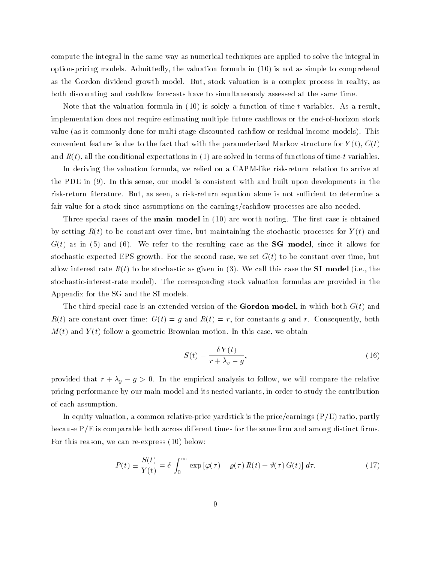compute the integral in the same way as numerical techniques are applied to solve the integral in option-pricing models. Admittedly, the valuation formula in (10) is not as simple to comprehend as the Gordon dividend growth model. But, stock valuation is a complex process in reality, as both discounting and cash
ow forecasts have to simultaneously assessed at the same time.

Note that the valuation formula in (10) is solely a function of time-t variables. As a result, implementation does not require estimating multiple future cashflows or the end-of-horizon stock value (as is commonly done for multi-stage discounted cashflow or residual-income models). This convenient feature is due to the fact that with the parameterized Markov structure for  $Y(t)$ ,  $G(t)$ and  $R(t)$ , all the conditional expectations in (1) are solved in terms of functions of time-t variables.

In deriving the valuation formula, we relied on a CAPM-like risk-return relation to arrive at the PDE in (9). In this sense, our model is consistent with and built upon developments in the risk-return literature. But, as seen, a risk-return equation alone is not sufficient to determine a fair value for a stock since assumptions on the earnings/cashflow processes are also needed.

Three special cases of the **main model** in  $(10)$  are worth noting. The first case is obtained by setting  $R(t)$  to be constant over time, but maintaining the stochastic processes for  $Y(t)$  and  $G(t)$  as in (5) and (6). We refer to the resulting case as the **SG model**, since it allows for stochastic expected EPS growth. For the second case, we set  $G(t)$  to be constant over time, but allow interest rate  $R(t)$  to be stochastic as given in (3). We call this case the **SI model** (i.e., the stochastic-interest-rate model). The corresponding stock valuation formulas are provided in the Appendix for the SG and the SI models.

The third special case is an extended version of the **Gordon model**, in which both  $G(t)$  and  $R(t)$  are constant over time:  $G(t) = g$  and  $R(t) = r$ , for constants g and r. Consequently, both  $M(t)$  and  $Y(t)$  follow a geometric Brownian motion. In this case, we obtain

$$
S(t) = \frac{\delta Y(t)}{r + \lambda_y - g},\tag{16}
$$

provided that  $r + \lambda_y - g > 0$ . In the empirical analysis to follow, we will compare the relative pricing performance by our main model and its nested variants, in order to study the contribution of each assumption.

In equity valuation, a common relative-price yardstick is the price/earnings  $(P/E)$  ratio, partly because  $P/E$  is comparable both across different times for the same firm and among distinct firms. For this reason, we can re-express (10) below:

$$
P(t) \equiv \frac{S(t)}{Y(t)} = \delta \int_0^\infty \exp\left[\varphi(\tau) - \varrho(\tau) R(t) + \vartheta(\tau) G(t)\right] d\tau.
$$
 (17)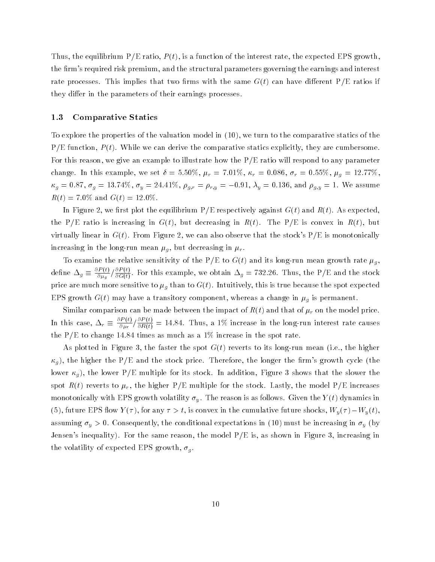Thus, the equilibrium  $P/E$  ratio,  $P(t)$ , is a function of the interest rate, the expected EPS growth, the firm's required risk premium, and the structural parameters governing the earnings and interest rate processes. This implies that two firms with the same  $G(t)$  can have different  $P/E$  ratios if they differ in the parameters of their earnings processes.

#### 1.3 Comparative Statics

To explore the properties of the valuation model in (10), we turn to the comparative statics of the  $P/E$  function,  $P(t)$ . While we can derive the comparative statics explicitly, they are cumbersome. For this reason, we give an example to illustrate how the P/E ratio will respond to any parameter changer. In this example, we set it is a strongly for the first control in the original strongly for the set of  $\kappa_g = 0.87, \sigma_g = 13.74\%, \sigma_u = 24.41\%, \rho_{g,r} = \rho_{r,y} = -0.91, \lambda_y = 0.136, \text{ and } \rho_{g,y} = 1.$  We assume  $R(t) = 7.0\%$  and  $G(t) = 12.0\%$ .

In Figure 2, we first plot the equilibrium  $P/E$  respectively against  $G(t)$  and  $R(t)$ . As expected, the P/E ratio is increasing in  $G(t)$ , but decreasing in  $R(t)$ . The P/E is convex in  $R(t)$ , but virtually linear in  $G(t)$ . From Figure 2, we can also observe that the stock's P/E is monotonically increasing in the long-run mean group in relation in relations in relations in relations in relations of  $\mathbf{u}$ 

To examine the relative sensitivity of the P/E to G(t) and its long-run meaning growth rate such  $\mu$  ,  $\mu$ define  $\Delta_g \equiv \frac{\partial P(t)}{\partial \mu_g} / \frac{\partial P(t)}{\partial G(t)}$ .  $\partial G(t)$  and the stock we obtain  $g$  and the stock  $\partial$   $f$  and the stock  $\partial$  and the stock  $\partial$ price are much more sensitive to g than to G(t). Intuitively, this is true because the spot expected EPS growth G(t) may have a transitory component, whereas a change in g is permanent.

Similar comparison can be made between the impact of R(t) and that of r on the model price. In this case,  $\Delta_r = \frac{\partial F(t)}{\partial \mu_r} / \frac{\partial F(t)}{\partial R(t)} = 14.84$ . Thus, a 1% increase in the long-run interest rate causes the  $P/E$  to change 14.84 times as much as a 1% increase in the spot rate.

As plotted in Figure 3, the faster the spot  $G(t)$  reverts to its long-run mean (i.e., the higher  $\kappa_g$ ), the higher the P/E and the stock price. Therefore, the longer the firm's growth cycle (the lower  $\kappa_g$ ), the lower P/E multiple for its stock. In addition, Figure 3 shows that the slower the spot R(t) reverts to revert to revert to revert for the model P/E increases the model P/E increases the model P/E increases the model P/E increases the model P/E increases the model P/E increases the model P/E increases t monotonically with EPS growth volatility y . The reason is as follows. Given the <sup>Y</sup> (t) dynamics in (5), future EPS flow  $Y(\tau)$ , for any  $\tau > t$ , is convex in the cumulative future shocks,  $W_y(\tau) - W_y(t)$ , assuming y <sup>&</sup>gt; 0. Consequently, the conditional expectations in (10) must be increasing in y (by Jensen's inequality). For the same reason, the model P/E is, as shown in Figure 3, increasing in the volation of expected EPS growth, growth, growth, growth, growth, growth, growth, growth, growth, growth, g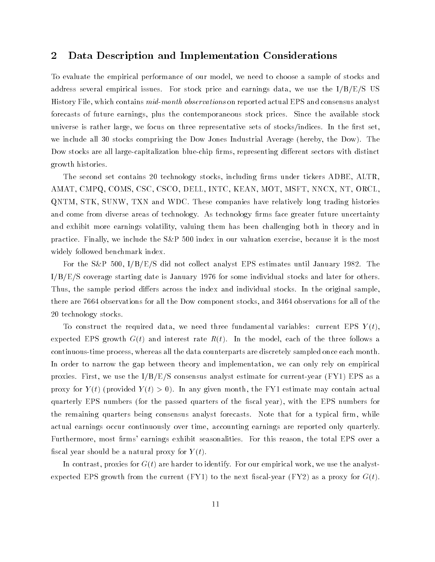#### 2 Data Description and Implementation Considerations

To evaluate the empirical performance of our model, we need to choose a sample of stocks and address several empirical issues. For stock price and earnings data, we use the  $I/B/E/S$  US History File, which contains mid-month observations on reported actual EPS and consensus analyst forecasts of future earnings, plus the contemporaneous stock prices. Since the available stock universe is rather large, we focus on three representative sets of stocks/indices. In the first set, we include all 30 stocks comprising the Dow Jones Industrial Average (hereby, the Dow). The Dow stocks are all large-capitalization blue-chip firms, representing different sectors with distinct growth histories.

The second set contains 20 technology stocks, including firms under tickers ADBE,  $\rm ALTR,$ AMAT, CMPQ, COMS, CSC, CSCO, DELL, INTC, KEAN, MOT, MSFT, NNCX, NT, ORCL, QNTM, STK, SUNW, TXN and WDC. These companies have relatively long trading histories and come from diverse areas of technology. As technology firms face greater future uncertainty and exhibit more earnings volatility, valuing them has been challenging both in theory and in practice. Finally, we include the S&P 500 index in our valuation exercise, because it is the most widely followed benchmark index.

For the S&P 500, I/B/E/S did not collect analyst EPS estimates until January 1982. The I/B/E/S coverage starting date is January 1976 for some individual stocks and later for others. Thus, the sample period differs across the index and individual stocks. In the original sample, there are 7664 observations for all the Dow component stocks, and 3464 observations for all of the 20 technology stocks.

To construct the required data, we need three fundamental variables: current EPS  $Y(t),$ expected EPS growth  $G(t)$  and interest rate  $R(t)$ . In the model, each of the three follows a continuous-time process, whereas all the data counterparts are discretely sampled once each month. In order to narrow the gap between theory and implementation, we can only rely on empirical proxies. First, we use the  $I/B/E/S$  consensus analyst estimate for current-year (FY1) EPS as a proxy for  $Y(t)$  (provided  $Y(t) > 0$ ). In any given month, the FY1 estimate may contain actual quarterly EPS numbers (for the passed quarters of the fiscal year), with the EPS numbers for the remaining quarters being consensus analyst forecasts. Note that for a typical firm, while actual earnings occur continuously over time, accounting earnings are reported only quarterly. Furthermore, most firms' earnings exhibit seasonalities. For this reason, the total EPS over a fiscal year should be a natural proxy for  $Y(t)$ .

In contrast, proxies for  $G(t)$  are harder to identify. For our empirical work, we use the analystexpected EPS growth from the current (FY1) to the next fiscal-year (FY2) as a proxy for  $G(t)$ .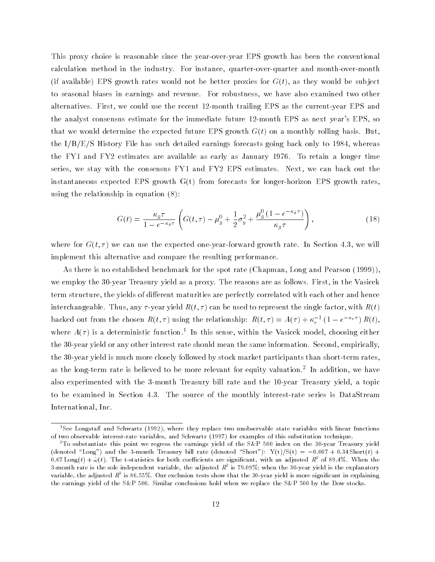This proxy choice is reasonable since the year-over-year EPS growth has been the conventional calculation method in the industry. For instance, quarter-over-quarter and month-over-month (if available) EPS growth rates would not be better proxies for  $G(t)$ , as they would be subject to seasonal biases in earnings and revenue. For robustness, we have also examined two other alternatives. First, we could use the recent 12-month trailing EPS as the current-year EPS and the analyst consensus estimate for the immediate future 12-month EPS as next year's EPS, so that we would determine the expected future EPS growth  $G(t)$  on a monthly rolling basis. But, the I/B/E/S History File has such detailed earnings forecasts going back only to 1984, whereas the FY1 and FY2 estimates are available as early as January 1976. To retain a longer time series, we stay with the consensus FY1 and FY2 EPS estimates. Next, we can back out the instantaneous expected EPS growth  $G(t)$  from forecasts for longer-horizon EPS growth rates, using the relationship in equation (8):

$$
G(t) = \frac{\kappa_g \tau}{1 - e^{-\kappa_g \tau}} \left( G(t, \tau) - \mu_g^0 + \frac{1}{2} \sigma_y^2 + \frac{\mu_g^0 \left(1 - e^{-\kappa_g \tau}\right)}{\kappa_g \tau} \right),\tag{18}
$$

where for  $G(t,\tau)$  we can use the expected one-year-forward growth rate. In Section 4.3, we will implement this alternative and compare the resulting performance.

As there is no established benchmark for the spot rate (Chapman, Long and Pearson (1999)), we employ the 30-year Treasury yield as a proxy. The reasons are as follows. First, in the Vasicek term structure, the yields of different maturities are perfectly correlated with each other and hence interchangeable. Thus, any  $\tau$ -year yield  $R(t, \tau)$  can be used to represent the single factor, with  $R(t)$ backed out from the chosen  $R(t, \tau)$  using the relationship:  $R(t, \tau) = A(\tau) + \kappa_r^{-1} (1 - e^{-\kappa_r \tau}) R(t)$ , rwhere  $A(\tau)$  is a deterministic function. In this sense, within the Vasicek model, choosing either the 30-year yield or any other interest rate should mean the same information. Second, empirically, the 30-year yield is much more closely followed by stock market participants than short-term rates, as the long-term rate is believed to be more relevant for equity valuation.<sup>2</sup> In addition, we have also experimented with the 3-month Treasury bill rate and the 10-year Treasury yield, a topic to be examined in Section 4.3. The source of the monthly interest-rate series is DataStream International, Inc.

 $1$ See Longstaff and Schwartz (1992), where they replace two unobservable state variables with linear functions of two observable interest-rate variables, and Schwartz (1997) for examples of this substitution technique.

<sup>&</sup>lt;sup>2</sup>To substantiate this point we regress the earnings yield of the S&P 500 index on the 30-year Treasury yield (denoted "Long") and the 3-month Treasury bill rate (denoted "Short"):  $Y(t)/S(t) = -0.007 + 0.34 S$ hort(t) + 0.67 Long(t) +  $\tilde{\omega}(t)$ . The t-statistics for both coefficients are significant, with an adjusted  $R^2$  of 89.4%. When the 3-month rate is the sole independent variable, the adjusted  $K^-$  is 79.09%; when the 30-year yield is the explanatory variable, the adjusted  $K^-$  is 86.55%. Our exclusion tests show that the 30-year yield is more significant in explaining the earnings yield of the S&P 500. Similar conclusions hold when we replace the S&P 500 by the Dow stocks.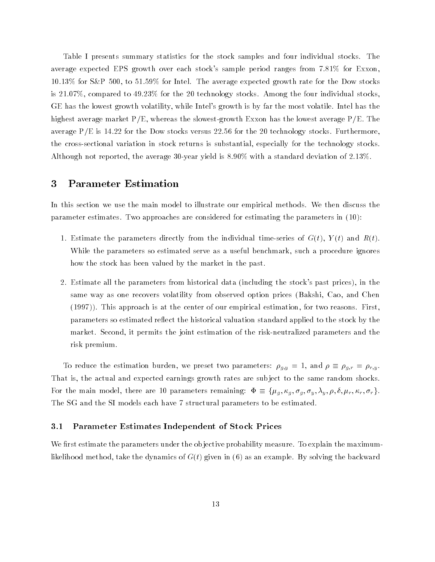Table I presents summary statistics for the stock samples and four individual stocks. The average expected EPS growth over each stock's sample period ranges from 7.81% for Exxon, 10.13% for S&P 500, to 51.59% for Intel. The average expected growth rate for the Dow stocks is  $21.07\%$ , compared to  $49.23\%$  for the 20 technology stocks. Among the four individual stocks, GE has the lowest growth volatility, while Intel's growth is by far the most volatile. Intel has the highest average market  $P/E$ , whereas the slowest-growth Exxon has the lowest average  $P/E$ . The average  $P/E$  is 14.22 for the Dow stocks versus 22.56 for the 20 technology stocks. Furthermore, the cross-sectional variation in stock returns is substantial, especially for the technology stocks. Although not reported, the average 30-year yield is 8.90% with a standard deviation of 2.13%.

#### 3 Parameter Estimation

In this section we use the main model to illustrate our empirical methods. We then discuss the parameter estimates. Two approaches are considered for estimating the parameters in (10):

- 1. Estimate the parameters directly from the individual time-series of  $G(t)$ ,  $Y(t)$  and  $R(t)$ . While the parameters so estimated serve as a useful benchmark, such a procedure ignores how the stock has been valued by the market in the past.
- 2. Estimate all the parameters from historical data (including the stock's past prices), in the same way as one recovers volatility from observed option prices (Bakshi, Cao, and Chen (1997)). This approach is at the center of our empirical estimation, for two reasons. First, parameters so estimated reflect the historical valuation standard applied to the stock by the market. Second, it permits the joint estimation of the risk-neutralized parameters and the risk premium.

To reduce the estimation burden, we preset two parameters:  $\rho_{g,y} = 1$ , and  $\rho \equiv \rho_{g,r} = \rho_{r,y}$ . That is, the actual and expected earnings growth rates are substituted earnings growth rates are substituted earnings growth rates are substituted earnings growth rates are substituted by  $\mathcal{L}(\mathcal{A})$ That is, the actual and expected earnings growth rates are subject to<br>For the main model, there are 10 parameters remaining:  $\Phi = {\mu_a, \kappa_a}$ . For the main model, there are 10 parameters remaining:  $\Phi = {\mu_g, \kappa_g, \sigma_g, \sigma_y, \lambda_y, \rho, \delta, \mu_r, \kappa_r, \sigma_r}.$ The SG and the SI models each have 7 structural parameters to be estimated.

#### 3.1 Parameter Estimates Independent of Stock Prices

We first estimate the parameters under the objective probability measure. To explain the maximumlikelihood method, take the dynamics of  $G(t)$  given in (6) as an example. By solving the backward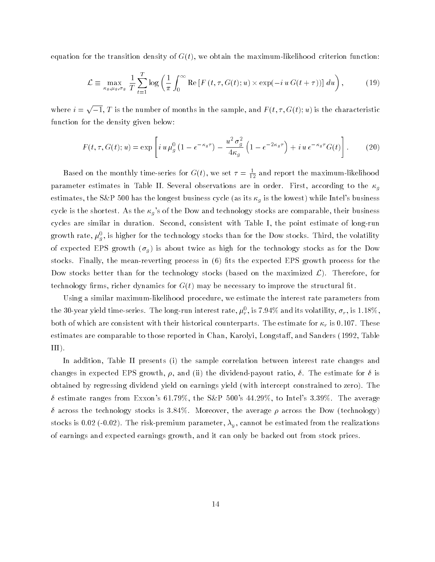equation for the transition density of  $G(t)$ , we obtain the maximum-likelihood criterion function:

$$
\mathcal{L} \equiv \max_{\kappa_g, \mu_g, \sigma_g} \frac{1}{T} \sum_{t=1}^T \log \left( \frac{1}{\pi} \int_0^\infty \text{Re} \left[ F(t, \tau, G(t); u) \times \exp(-i u G(t + \tau)) \right] du \right), \tag{19}
$$

where  $i = \sqrt{-1}$ , T is the number of months in the sample, and  $F(t, \tau, G(t); u)$  is the characteristic function for the density given below:

$$
F(t,\tau,G(t);u) = \exp\left[i u \mu_g^0 \left(1 - e^{-\kappa_g \tau}\right) - \frac{u^2 \sigma_g^2}{4\kappa_g} \left(1 - e^{-2\kappa_g \tau}\right) + i u e^{-\kappa_g \tau} G(t)\right].
$$
 (20)

Based on the monthly time-series for  $G(t)$ , we set  $\tau = \frac{1}{12}$  and report the maximum-likelihood parameter estimates in Table II. Several observations are in order. First, according to the  $\kappa_g$ estimates, the S&P 500 has the longest business cycle (as its  $\kappa_g$  is the lowest) while Intel's business cycle is the shortest. As the  $\kappa_a$ 's of the Dow and technology stocks are comparable, their business cycles are similar in duration. Second, consistent with Table I, the point estimate of long-run growth rate,  $\mu_q$ , is higher for the technology stocks than for the Dow stocks. Third, the volatility of expected EPS growth  $(\sigma_g)$  is about twice as high for the technology stocks as for the Dow stocks. Finally, the mean-reverting process in (6) fits the expected EPS growth process for the Dow stocks better than for the technology stocks (based on the maximized  $\mathcal{L}$ ). Therefore, for technology firms, richer dynamics for  $G(t)$  may be necessary to improve the structural fit.

Using a similar maximum-likelihood procedure, we estimate the interest rate parameters from the 30-year yield time-series. The long-run interest rate,  $\mu_r^*$ , is 7.94% and its volatility,  $\sigma_r$ , is 1.18%, both of which are consistent with their historical counterparts. The estimate for r is 0.107. These estimates are comparable to those reported in Chan, Karolyi, Longstaff, and Sanders (1992, Table III).

In addition, Table II presents (i) the sample correlation between interest rate changes and changes in expected EPS growth,  $\rho$ , and (ii) the dividend-payout ratio,  $\delta$ . The estimate for  $\delta$  is obtained by regressing dividend yield on earnings yield (with intercept constrained to zero). The  $\delta$  estimate ranges from Exxon's 61.79%, the S&P 500's 44.29%, to Intel's 3.39%. The average  $\delta$  across the technology stocks is 3.84%. Moreover, the average  $\rho$  across the Dow (technology) stocks is 0.02 (-0.02). The risk-premium parameter, y  $\alpha$  ,  $\alpha$  ,  $\alpha$  ) of earnings and expected earnings growth, and it can only be backed out from stock prices.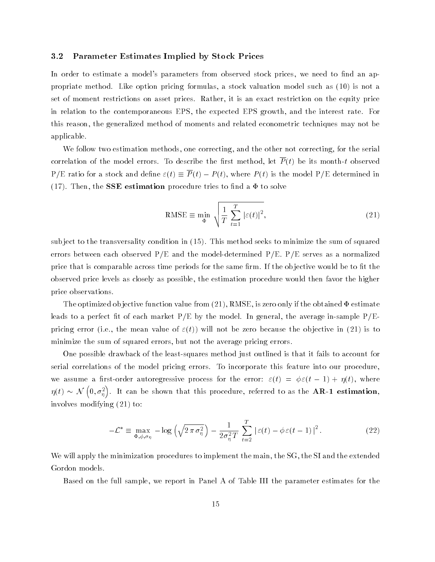#### 3.2 Parameter Estimates Implied by Stock Prices

In order to estimate a model's parameters from observed stock prices, we need to find an appropriate method. Like option pricing formulas, a stock valuation model such as (10) is not a set of moment restrictions on asset prices. Rather, it is an exact restriction on the equity price in relation to the contemporaneous EPS, the expected EPS growth, and the interest rate. For this reason, the generalized method of moments and related econometric techniques may not be applicable.

We follow two estimation methods, one correcting, and the other not correcting, for the serial correlation of the model errors. To describe the first method, let  $\overline{P}(t)$  be its month-t observed  $P/E$  ratio for a stock and define  $\varepsilon(t) \equiv \overline{P}(t) - P(t)$ , where  $P(t)$  is the model P/E determined in (17). Then, the SSE estimation procedure tries to find a  $\Phi$  to solve

RMSE = 
$$
\min_{\Phi} \sqrt{\frac{1}{T} \sum_{t=1}^{T} |\varepsilon(t)|^2}
$$
, (21)

subject to the transversality condition in  $(15)$ . This method seeks to minimize the sum of squared errors between each observed  $P/E$  and the model-determined  $P/E$ .  $P/E$  serves as a normalized price that is comparable across time periods for the same firm. If the objective would be to fit the observed price levels as closely as possible, the estimation procedure would then favor the higher price observations.

The optimized objective function value from  $(21), \mathrm{RMSE},$  is zero only if the obtained  $\Phi$  estimate leads to a perfect fit of each market  $P/E$  by the model. In general, the average in-sample  $P/E$ pricing error (i.e., the mean value of  $\varepsilon(t)$ ) will not be zero because the objective in (21) is to minimize the sum of squared errors, but not the average pricing errors.

One possible drawback of the least-squares method just outlined is that it fails to account for serial correlations of the model pricing errors. To incorporate this feature into our procedure, we assume a first-order autoregressive process for the error:  $\varepsilon(t) = \phi \varepsilon(t-1) + \eta(t)$ , where we assume a first-order autoregressive process for the error:  $\varepsilon(t) = \phi \varepsilon(t-1) + \eta(t)$ , where  $\eta(t) \sim \mathcal{N}\left(0, \sigma_n^2\right)$ . It can be shown that this procedure, referred to as the **AR-1 estimation**, involves modifying (21) to:

$$
-\mathcal{L}^* \equiv \max_{\Phi,\phi,\sigma_{\eta}} -\log\left(\sqrt{2\,\pi\,\sigma_{\eta}^2}\,\right) - \frac{1}{2\sigma_{\eta}^2\,T} \sum_{t=2}^T |\,\varepsilon(t) - \phi\,\varepsilon(t-1)\,|^2 \,. \tag{22}
$$

We will apply the minimization procedures to implement the main, the SG, the SI and the extended Gordon models.

Based on the full sample, we report in Panel A of Table III the parameter estimates for the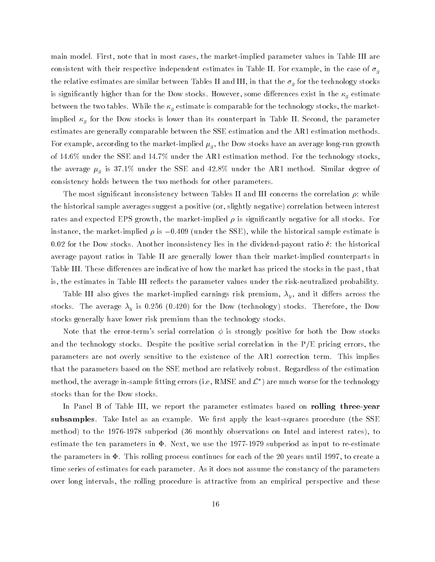main model. First, note that in most cases, the market-implied parameter values in Table III are consistent with their respective independent estimates in Table II. For example, in the case of  $\sigma_g$ the relative estimates are similar between Tables II and III, in that the g for the technology stocks is signicantly higher than for the Dow stocks. However, some dierences exist in the g estimate between the two tables. While the g estimate is comparable for the technology stocks, the marketimplied g for the Dow stocks is lower than its counterpart in Table II. Second, the parameter estimates are generally comparable between the SSE estimation and the AR1 estimation methods. For example, according to the market-implication g , the Dow stocks have an average long-run growth  $\alpha$ of 14.6% under the SSE and 14.7% under the AR1 estimation method. For the technology stocks, the average g is 37.1% under the SSE and 42.8% under the AR1 method. Similar degree of consistency holds between the two methods for other parameters.

The most significant inconsistency between Tables II and III concerns the correlation  $\rho$ : while the historical sample averages suggest a positive (or, slightly negative) correlation between interest rates and expected EPS growth, the market-implied  $\rho$  is significantly negative for all stocks. For instance, the market-implied  $\rho$  is  $-0.409$  (under the SSE), while the historical sample estimate is 0.02 for the Dow stocks. Another inconsistency lies in the dividend-payout ratio  $\delta$ : the historical average payout ratios in Table II are generally lower than their market-implied counterparts in Table III. These differences are indicative of how the market has priced the stocks in the past, that is, the estimates in Table III reflects the parameter values under the risk-neutralized probability.

Table II also gives the market-implicit premium, y , and it discusses risk premium, y , and it discusses the market-implicit premium, y , and it discusses the matrix  $\alpha$ stocks. The average y is order (crease) for the Dow (technology) stocks. Therefore, the Dow stocks generally have lower risk premium than the technology stocks.

Note that the error-term's serial correlation  $\phi$  is strongly positive for both the Dow stocks and the technology stocks. Despite the positive serial correlation in the  $P/E$  pricing errors, the parameters are not overly sensitive to the existence of the AR1 correction term. This implies that the parameters based on the SSE method are relatively robust. Regardless of the estimation method, the average in-sample fitting errors (i.e,  $RMSE$  and  $\mathcal{L}^*$ ) are much worse for the technology stocks than for the Dow stocks.

In Panel B of Table III, we report the parameter estimates based on rolling three-year subsamples. Take Intel as an example. We first apply the least-squares procedure (the SSE method) to the 1976-1978 subperiod (36 monthly observations on Intel and interest rates), to estimate the ten parameters in  $\Phi$ . Next, we use the 1977-1979 subperiod as input to re-estimate the parameters in  $\Phi$ . This rolling process continues for each of the 20 years until 1997, to create a time series of estimates for each parameter. As it does not assume the constancy of the parameters over long intervals, the rolling procedure is attractive from an empirical perspective and these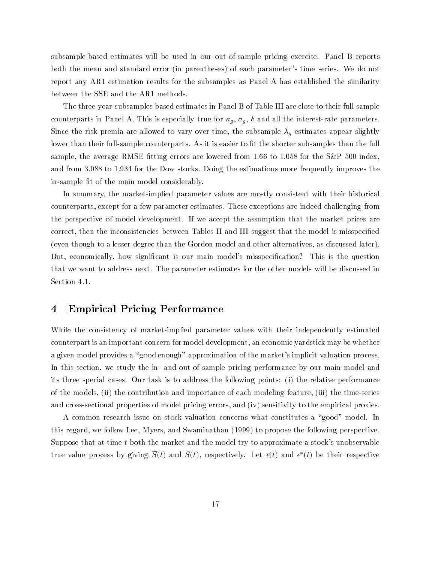subsample-based estimates will be used in our out-of-sample pricing exercise. Panel B reports both the mean and standard error (in parentheses) of each parameter's time series. We do not report any AR1 estimation results for the subsamples as Panel A has established the similarity between the SSE and the AR1 methods.

The three-year-subsamples based estimates in Panel B of Table III are close to their full-sample counterparts in Panel A. This is especially true for g , g , g , g , and all the interest-rate parameters. Since the risk premia are allowed to vary over time, the subsample y estimates appear slightly lower than their full-sample counterparts. As it is easier to fit the shorter subsamples than the full sample, the average RMSE fitting errors are lowered from 1.66 to 1.058 for the S&P 500 index, and from 3.088 to 1.934 for the Dow stocks. Doing the estimations more frequently improves the in-sample fit of the main model considerably.

In summary, the market-implied parameter values are mostly consistent with their historical counterparts, except for a few parameter estimates. These exceptions are indeed challenging from the perspective of model development. If we accept the assumption that the market prices are correct, then the inconsistencies between Tables II and III suggest that the model is misspecied (even though to a lesser degree than the Gordon model and other alternatives, as discussed later). But, economically, how significant is our main model's misspecification? This is the question that we want to address next. The parameter estimates for the other models will be discussed in Section 4.1.

#### 4 Empirical Pricing Performance

While the consistency of market-implied parameter values with their independently estimated counterpart is an important concern for model development, an economic yardstick may be whether a given model provides a "good enough" approximation of the market's implicit valuation process. In this section, we study the in- and out-of-sample pricing performance by our main model and its three special cases. Our task is to address the following points: (i) the relative performance of the models, (ii) the contribution and importance of each modeling feature, (iii) the time-series and cross-sectional properties of model pricing errors, and (iv) sensitivity to the empirical proxies.

A common research issue on stock valuation concerns what constitutes a "good" model. In this regard, we follow Lee, Myers, and Swaminathan (1999) to propose the following perspective. Suppose that at time t both the market and the model try to approximate a stock's unobservable true value process by giving  $S(t)$  and  $S(t)$ , respectively. Let  $\epsilon(t)$  and  $\epsilon(t)$  be their respective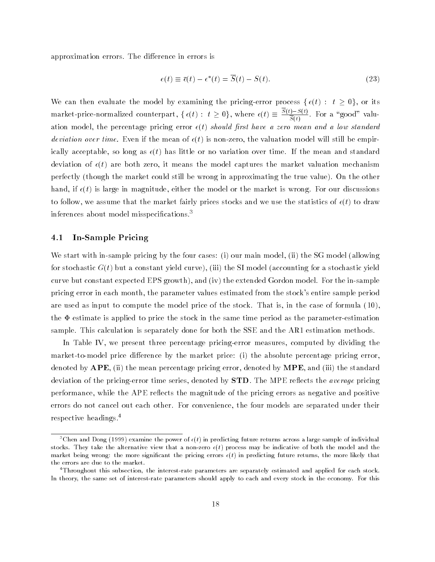approximation errors. The difference in errors is

$$
e(t) \equiv \overline{\epsilon}(t) - \epsilon^*(t) = \overline{S}(t) - S(t). \tag{23}
$$

We can then evaluate the model by examining the pricing-error process  $\{e(t): t \geq 0\}$ , or its market-price-normalized counterpart,  $\{\epsilon(t): t > 0\}$ , where  $\epsilon(t) \equiv \frac{S(t)-S(t)}{S(t)}$ .  $S(t)$  . For a set  $S(t)$  values of  $S(t)$ ation model, the percentage pricing error  $\epsilon(t)$  should first have a zero mean and a low standard deviation over time. Even if the mean of  $\epsilon(t)$  is non-zero, the valuation model will still be empirically acceptable, so long as  $\epsilon(t)$  has little or no variation over time. If the mean and standard deviation of  $\epsilon(t)$  are both zero, it means the model captures the market valuation mechanism perfectly (though the market could still be wrong in approximating the true value). On the other hand, if  $\epsilon(t)$  is large in magnitude, either the model or the market is wrong. For our discussions to follow, we assume that the market fairly prices stocks and we use the statistics of  $\epsilon(t)$  to draw inferences about model misspecifications.<sup>3</sup>

#### 4.1 In-Sample Pricing

We start with in-sample pricing by the four cases: (i) our main model, (ii) the SG model (allowing for stochastic  $G(t)$  but a constant yield curve), (iii) the SI model (accounting for a stochastic yield curve but constant expected EPS growth), and (iv) the extended Gordon model. For the in-sample pricing error in each month, the parameter values estimated from the stock's entire sample period are used as input to compute the model price of the stock. That is, in the case of formula (10), the  $\Phi$  estimate is applied to price the stock in the same time period as the parameter-estimation sample. This calculation is separately done for both the SSE and the AR1 estimation methods.

In Table IV, we present three percentage pricing-error measures, computed by dividing the market-to-model price difference by the market price: (i) the absolute percentage pricing error. denoted by APE, (ii) the mean percentage pricing error, denoted by MPE, and (iii) the standard deviation of the pricing-error time series, denoted by  $\text{STD}$ . The MPE reflects the *average* pricing performance, while the APE reflects the magnitude of the pricing errors as negative and positive errors do not cancel out each other. For convenience, the four models are separated under their respective headings.4

<sup>&</sup>lt;sup>3</sup>Chen and Dong (1999) examine the power of  $\epsilon(t)$  in predicting future returns across a large sample of individual stocks. They take the alternative view that a non-zero  $\epsilon(t)$  process may be indicative of both the model and the market being wrong: the more significant the pricing errors  $\epsilon(t)$  in predicting future returns, the more likely that the errors are due to the market.

<sup>4</sup>Throughout this subsection, the interest-rate parameters are separately estimated and applied for each stock. In theory, the same set of interest-rate parameters should apply to each and every stock in the economy. For this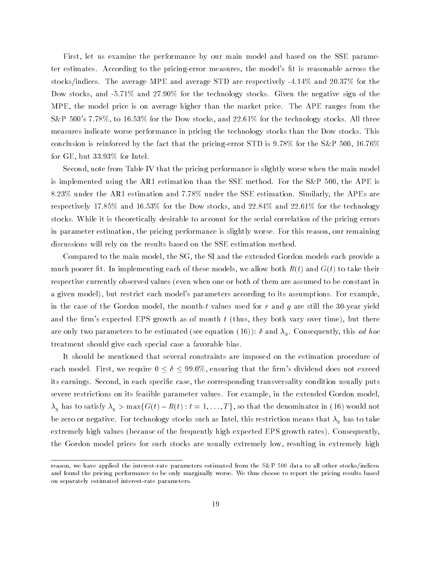First, let us examine the performance by our main model and based on the SSE parameter estimates. According to the pricing-error measures, the model's fit is reasonable across the stocks/indices. The average MPE and average STD are respectively -4.14% and 20.37% for the Dow stocks, and -5.71% and 27.90% for the technology stocks. Given the negative sign of the MPE, the model price is on average higher than the market price. The APE ranges from the S&P 500's 7.78%, to 16.53% for the Dow stocks, and  $22.61\%$  for the technology stocks. All three measures indicate worse performance in pricing the technology stocks than the Dow stocks. This conclusion is reinforced by the fact that the pricing-error STD is 9.78% for the S&P 500, 16.76% for GE, but 33.93% for Intel.

Second, note from Table IV that the pricing performance is slightly worse when the main model is implemented using the AR1 estimation than the SSE method. For the S&P 500, the APE is 8.23% under the AR1 estimation and 7.78% under the SSE estimation. Similarly, the APEs are respectively 17.85% and 16.53% for the Dow stocks, and 22.84% and 22.61% for the technology stocks. While it is theoretically desirable to account for the serial correlation of the pricing errors in parameter estimation, the pricing performance is slightly worse. For this reason, our remaining discussions will rely on the results based on the SSE estimation method.

Compared to the main model, the SG, the SI and the extended Gordon models each provide a much poorer fit. In implementing each of these models, we allow both  $R(t)$  and  $G(t)$  to take their respective currently observed values (even when one or both of them are assumed to be constant in a given model), but restrict each model's parameters according to its assumptions. For example, in the case of the Gordon model, the month-t values used for r and q are still the 30-year yield and the firm's expected EPS growth as of month  $t$  (thus, they both vary over time), but there are only two parameters to be estimated (see equation (see equation (16)):  $a$  . Consequently, this addition (16) treatment should give each special case a favorable bias.

It should be mentioned that several constraints are imposed on the estimation procedure of each model. First, we require  $0 \le \delta \le 99.0\%$ , ensuring that the firm's dividend does not exceed its earnings. Second, in each specific case, the corresponding transversality condition usually puts severe restrictions on its feasible parameter values. For example, in the extended Gordon model,  $\lambda_y$  has to satisfy  $\lambda_y > \max\{G(t) - R(t) : t = 1, \ldots, T\}$ , so that the denominator in (16) would not be zero or negative. For this restriction means that  $\mathbf{u}$  has to take  $\mathbf{u}$  has to take  $\mathbf{u}$ extremely high values (because of the frequently high expected EPS growth rates). Consequently, the Gordon model prices for such stocks are usually extremely low, resulting in extremely high

reason, we have applied the interest-rate parameters estimated from the S&P 500 data to all other stocks/indices and found the pricing performance to be only marginally worse. We thus choose to report the pricing results based on separately estimated interest-rate parameters.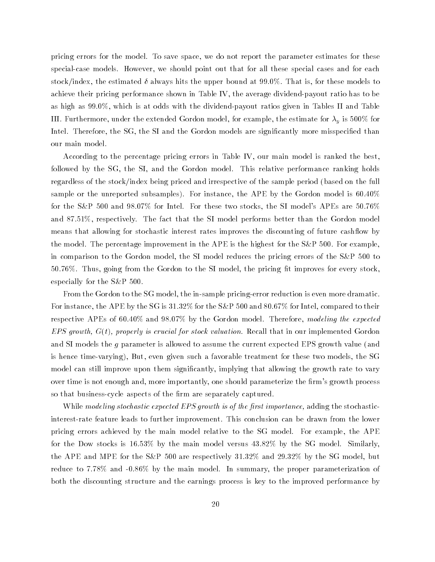pricing errors for the model. To save space, we do not report the parameter estimates for these special-case models. However, we should point out that for all these special cases and for each stock/index, the estimated  $\delta$  always hits the upper bound at 99.0%. That is, for these models to achieve their pricing performance shown in Table IV, the average dividend-payout ratio has to be as high as 99.0%, which is at odds with the dividend-payout ratios given in Tables II and Table II. Furthermore, under the extended Gordon model, for example, the estimate for  $\eta$  is 500% for Intel. Therefore, the SG, the SI and the Gordon models are significantly more misspecified than our main model.

According to the percentage pricing errors in Table IV, our main model is ranked the best, followed by the SG, the SI, and the Gordon model. This relative performance ranking holds regardless of the stock/index being priced and irrespective of the sample period (based on the full sample or the unreported subsamples). For instance, the APE by the Gordon model is 60.40% for the S&P 500 and 98.07% for Intel. For these two stocks, the SI model's APEs are 50.76% and 87.51%, respectively. The fact that the SI model performs better than the Gordon model means that allowing for stochastic interest rates improves the discounting of future cashflow by the model. The percentage improvement in the APE is the highest for the S&P 500. For example, in comparison to the Gordon model, the SI model reduces the pricing errors of the S&P 500 to 50.76%. Thus, going from the Gordon to the SI model, the pricing fit improves for every stock. especially for the S&P 500.

From the Gordon to the SG model, the in-sample pricing-error reduction is even more dramatic. For instance, the APE by the SG is 31.32% for the S&P 500 and 80.67% for Intel, compared to their respective APEs of 60.40% and 98.07% by the Gordon model. Therefore, modeling the expected EPS growth,  $G(t)$ , properly is crucial for stock valuation. Recall that in our implemented Gordon and SI models the g parameter is allowed to assume the current expected EPS growth value (and is hence time-varying), But, even given such a favorable treatment for these two models, the SG model can still improve upon them signicantly, implying that allowing the growth rate to vary over time is not enough and, more importantly, one should parameterize the firm's growth process so that business-cycle aspects of the firm are separately captured.

While modeling stochastic expected EPS growth is of the first importance, adding the stochasticinterest-rate feature leads to further improvement. This conclusion can be drawn from the lower pricing errors achieved by the main model relative to the SG model. For example, the APE for the Dow stocks is 16.53% by the main model versus 43.82% by the SG model. Similarly, the APE and MPE for the S&P 500 are respectively 31.32% and 29.32% by the SG model, but reduce to 7.78% and -0.86% by the main model. In summary, the proper parameterization of both the discounting structure and the earnings process is key to the improved performance by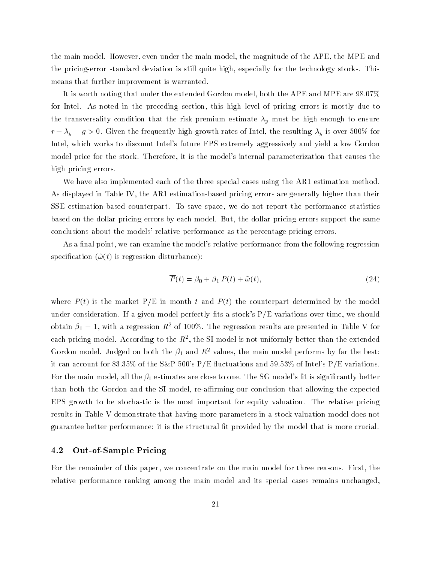the main model. However, even under the main model, the magnitude of the APE, the MPE and the pricing-error standard deviation is still quite high, especially for the technology stocks. This means that further improvement is warranted.

It is worth noting that under the extended Gordon model, both the APE and MPE are 98.07% for Intel. As noted in the preceding section, this high level of pricing errors is mostly due to the transversality condition that the risk premium estimate y must be high enough to ensure  $r + \lambda_y - g > 0$ . Given the frequently high growth rates of Intel, the resulting  $\lambda_y$  is over 500% for Intel, which works to discount Intel's future EPS extremely aggressively and yield a low Gordon model price for the stock. Therefore, it is the model's internal parameterization that causes the high pricing errors.

We have also implemented each of the three special cases using the AR1 estimation method. As displayed in Table IV, the AR1 estimation-based pricing errors are generally higher than their SSE estimation-based counterpart. To save space, we do not report the performance statistics based on the dollar pricing errors by each model. But, the dollar pricing errors support the same conclusions about the models' relative performance as the percentage pricing errors.

As a final point, we can examine the model's relative performance from the following regression specification  $(\tilde{\omega}(t))$  is regression disturbance):

$$
\overline{P}(t) = \beta_0 + \beta_1 P(t) + \tilde{\omega}(t),\tag{24}
$$

where  $\overline{P}(t)$  is the market P/E in month t and  $P(t)$  the counterpart determined by the model under consideration. If a given model perfectly fits a stock's  $P/E$  variations over time, we should obtain  $\beta_1 = 1$ , with a regression  $R^2$  of 100%. The regression results are presented in Table V for each pricing model. According to the  $\kappa^{\text{-}}$ , the SI model is not uniformly better than the extended Gordon model. Judged on both the  $\beta_1$  and  $R^2$  values, the main model performs by far the best: it can account for 83.35% of the S&P 500's P/E fluctuations and 59.53% of Intel's P/E variations. For the main model, all the  $\beta_1$  estimates are close to one. The SG model's fit is significantly better than both the Gordon and the SI model, re-affirming our conclusion that allowing the expected EPS growth to be stochastic is the most important for equity valuation. The relative pricing results in Table V demonstrate that having more parameters in a stock valuation model does not guarantee better performance: it is the structural t provided by the model that is more crucial.

#### 4.2 Out-of-Sample Pricing

For the remainder of this paper, we concentrate on the main model for three reasons. First, the relative performance ranking among the main model and its special cases remains unchanged,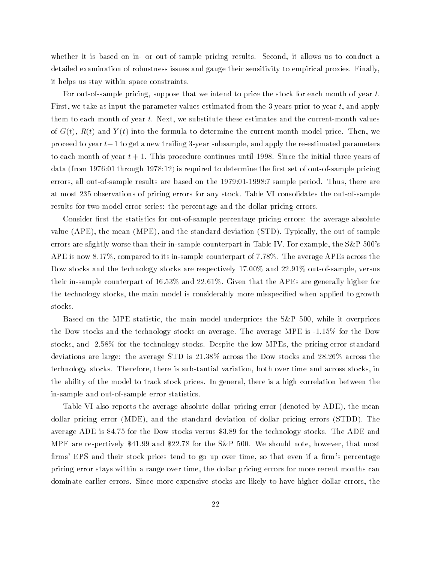whether it is based on in- or out-of-sample pricing results. Second, it allows us to conduct a detailed examination of robustness issues and gauge their sensitivity to empirical proxies. Finally, it helps us stay within space constraints.

For out-of-sample pricing, suppose that we intend to price the stock for each month of year  $t$ . First, we take as input the parameter values estimated from the 3 years prior to year  $t$ , and apply them to each month of year t. Next, we substitute these estimates and the current-month values of  $G(t)$ ,  $R(t)$  and  $Y(t)$  into the formula to determine the current-month model price. Then, we proceed to year  $t+1$  to get a new trailing 3-year subsample, and apply the re-estimated parameters to each month of year  $t + 1$ . This procedure continues until 1998. Since the initial three years of data (from  $1976:01$  through  $1978:12$ ) is required to determine the first set of out-of-sample pricing errors, all out-of-sample results are based on the 1979:01-1998:7 sample period. Thus, there are at most 235 observations of pricing errors for any stock. Table VI consolidates the out-of-sample results for two model error series: the percentage and the dollar pricing errors.

Consider first the statistics for out-of-sample percentage pricing errors: the average absolute value (APE), the mean (MPE), and the standard deviation (STD). Typically, the out-of-sample errors are slightly worse than their in-sample counterpart in Table IV. For example, the S&P 500's APE is now 8.17%, compared to its in-sample counterpart of 7.78%. The average APEs across the Dow stocks and the technology stocks are respectively 17.00% and 22.91% out-of-sample, versus their in-sample counterpart of 16.53% and 22.61%. Given that the APEs are generally higher for the technology stocks, the main model is considerably more misspecied when applied to growth stocks.

Based on the MPE statistic, the main model underprices the S&P 500, while it overprices the Dow stocks and the technology stocks on average. The average MPE is -1.15% for the Dow stocks, and -2.58% for the technology stocks. Despite the low MPEs, the pricing-error standard deviations are large: the average STD is 21.38% across the Dow stocks and 28.26% across the technology stocks. Therefore, there is substantial variation, both over time and across stocks, in the ability of the model to track stock prices. In general, there is a high correlation between the in-sample and out-of-sample error statistics.

Table VI also reports the average absolute dollar pricing error (denoted by ADE), the mean dollar pricing error (MDE), and the standard deviation of dollar pricing errors (STDD). The average ADE is \$4.75 for the Dow stocks versus \$3.89 for the technology stocks. The ADE and MPE are respectively \$41.99 and \$22.78 for the S&P 500. We should note, however, that most firms' EPS and their stock prices tend to go up over time, so that even if a firm's percentage pricing error stays within a range over time, the dollar pricing errors for more recent months can dominate earlier errors. Since more expensive stocks are likely to have higher dollar errors, the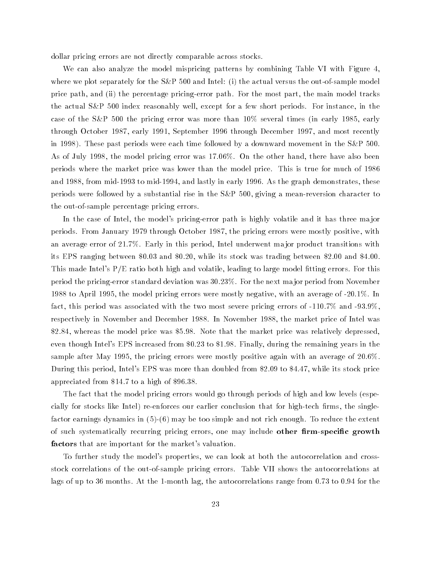dollar pricing errors are not directly comparable across stocks.

We can also analyze the model mispricing patterns by combining Table VI with Figure 4, where we plot separately for the  $S\&P$  500 and Intel: (i) the actual versus the out-of-sample model price path, and (ii) the percentage pricing-error path. For the most part, the main model tracks the actual S&P 500 index reasonably well, except for a few short periods. For instance, in the case of the S&P 500 the pricing error was more than 10% several times (in early 1985, early through October 1987, early 1991, September 1996 through December 1997, and most recently in 1998). These past periods were each time followed by a downward movement in the S&P 500. As of July 1998, the model pricing error was 17.06%. On the other hand, there have also been periods where the market price was lower than the model price. This is true for much of 1986 and 1988, from mid-1993 to mid-1994, and lastly in early 1996. As the graph demonstrates, these periods were followed by a substantial rise in the S&P 500, giving a mean-reversion character to the out-of-sample percentage pricing errors.

In the case of Intel, the model's pricing-error path is highly volatile and it has three ma jor periods. From January 1979 through October 1987, the pricing errors were mostly positive, with an average error of 21.7%. Early in this period, Intel underwent ma jor product transitions with its EPS ranging between \$0.03 and \$0.20, while its stock was trading between \$2.00 and \$4.00. This made Intel's  $P/E$  ratio both high and volatile, leading to large model fitting errors. For this period the pricing-error standard deviation was 30.23%. For the next ma jor period from November 1988 to April 1995, the model pricing errors were mostly negative, with an average of -20.1%. In fact, this period was associated with the two most severe pricing errors of -110.7% and -93.9%, respectively in November and December 1988. In November 1988, the market price of Intel was \$2.84, whereas the model price was \$5.98. Note that the market price was relatively depressed, even though Intel's EPS increased from \$0.23 to \$1.98. Finally, during the remaining years in the sample after May 1995, the pricing errors were mostly positive again with an average of 20.6%. During this period, Intel's EPS was more than doubled from \$2.09 to \$4.47, while its stock price appreciated from \$14.7 to a high of \$96.38.

The fact that the model pricing errors would go through periods of high and low levels (especially for stocks like Intel) re-enforces our earlier conclusion that for high-tech firms, the singlefactor earnings dynamics in (5)-(6) may be too simple and not rich enough. To reduce the extent of such systematically recurring pricing errors, one may include other firm-specific growth factors that are important for the market's valuation.

To further study the model's properties, we can look at both the autocorrelation and crossstock correlations of the out-of-sample pricing errors. Table VII shows the autocorrelations at lags of up to 36 months. At the 1-month lag, the autocorrelations range from 0.73 to 0.94 for the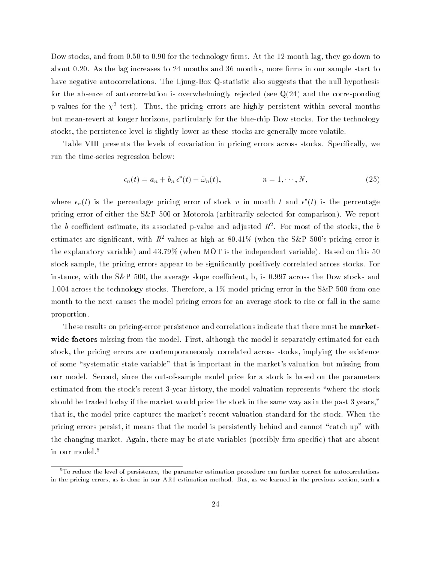Dow stocks, and from 0.50 to 0.90 for the technology firms. At the 12-month lag, they go down to about  $0.20$ . As the lag increases to 24 months and 36 months, more firms in our sample start to have negative autocorrelations. The Ljung-Box Q-statistic also suggests that the null hypothesis for the absence of autocorrelation is overwhelmingly rejected (see  $Q(24)$  and the corresponding p-values for the  $\chi^+$  test). Thus, the pricing errors are highly persistent within several months but mean-revert at longer horizons, particularly for the blue-chip Dow stocks. For the technology stocks, the persistence level is slightly lower as these stocks are generally more volatile.

Table VIII presents the levels of covariation in pricing errors across stocks. Specically, we run the time-series regression below:

$$
\epsilon_n(t) = a_n + b_n \epsilon^*(t) + \tilde{\omega}_n(t), \qquad n = 1, \cdots, N,
$$
\n(25)

where  $\epsilon_n(t)$  is the percentage pricing error of stock n in month t and  $\epsilon$  (t) is the percentage pricing error of either the S&P 500 or Motorola (arbitrarily selected for comparison). We report the b coefficient estimate, its associated p-value and adjusted  $R^+$ . For most of the stocks, the  $\theta$ estimates are significant, with  $R^2$  values as high as 80.41% (when the S&P 500's pricing error is the explanatory variable) and 43.79% (when MOT is the independent variable). Based on this 50 stock sample, the pricing errors appear to be signicantly positively correlated across stocks. For instance, with the S&P 500, the average slope coefficient, b, is  $0.997$  across the Dow stocks and 1.004 across the technology stocks. Therefore, a 1% model pricing error in the S&P 500 from one month to the next causes the model pricing errors for an average stock to rise or fall in the same proportion.

These results on pricing-error persistence and correlations indicate that there must be **market**wide factors missing from the model. First, although the model is separately estimated for each stock, the pricing errors are contemporaneously correlated across stocks, implying the existence of some "systematic state variable" that is important in the market's valuation but missing from our model. Second, since the out-of-sample model price for a stock is based on the parameters estimated from the stock's recent 3-year history, the model valuation represents \where the stock should be traded today if the market would price the stock in the same way as in the past 3 years," that is, the model price captures the market's recent valuation standard for the stock. When the pricing errors persist, it means that the model is persistently behind and cannot "catch up" with the changing market. Again, there may be state variables (possibly firm-specific) that are absent in our model.<sup>5</sup>

 $5T$ o reduce the level of persistence, the parameter estimation procedure can further correct for autocorrelations in the pricing errors, as is done in our AR1 estimation method. But, as we learned in the previous section, such a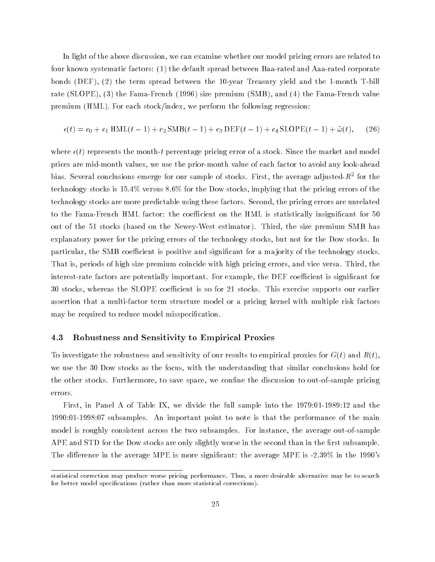In light of the above discussion, we can examine whether our model pricing errors are related to four known systematic factors: (1) the default spread between Baa-rated and Aaa-rated corporate bonds (DEF), (2) the term spread between the 10-year Treasury yield and the 1-month T-bill rate (SLOPE), (3) the Fama-French (1996) size premium (SMB), and (4) the Fama-French value premium (HML). For each stock/index, we perform the following regression:

 $\epsilon(t) = c_0 + c_1 \text{HML}(t-1) + c_2 \text{SMB}(t-1) + c_3 \text{DEF}(t-1) + c_4 \text{SLOPE}(t-1) + \tilde{\omega}(t),$  (26)

where  $\epsilon(t)$  represents the month-t percentage pricing error of a stock. Since the market and model prices are mid-month values, we use the prior-month value of each factor to avoid any look-ahead bias. Several conclusions emerge for our sample of stocks. First, the average adjusted- $R^-$  for the  $\pm$ technology stocks is 15.4% versus 8.6% for the Dow stocks, implying that the pricing errors of the technology stocks are more predictable using these factors. Second, the pricing errors are unrelated to the Fama-French HML factor: the coefficient on the HML is statistically insignificant for 50 out of the 51 stocks (based on the Newey-West estimator). Third, the size premium SMB has explanatory power for the pricing errors of the technology stocks, but not for the Dow stocks. In particular, the SMB coefficient is positive and significant for a majority of the technology stocks. That is, periods of high size premium coincide with high pricing errors, and vice versa. Third, the interest-rate factors are potentially important. For example, the DEF coefficient is significant for 30 stocks, whereas the SLOPE coefficient is so for 21 stocks. This exercise supports our earlier assertion that a multi-factor term structure model or a pricing kernel with multiple risk factors may be required to reduce model misspecication.

#### 4.3 Robustness and Sensitivity to Empirical Proxies

To investigate the robustness and sensitivity of our results to empirical proxies for  $G(t)$  and  $R(t)$ . we use the 30 Dow stocks as the focus, with the understanding that similar conclusions hold for the other stocks. Furthermore, to save space, we confine the discussion to out-of-sample pricing errors.

First, in Panel A of Table IX, we divide the full sample into the 1979:01-1989:12 and the 1990:01-1998:07 subsamples. An important point to note is that the performance of the main model is roughly consistent across the two subsamples. For instance, the average out-of-sample APE and STD for the Dow stocks are only slightly worse in the second than in the first subsample. The difference in the average MPE is more significant: the average MPE is -2.39% in the 1990's

statistical correction may produce worse pricing performance. Thus, a more desirable alternative may be to search for better model specifications (rather than more statistical corrections).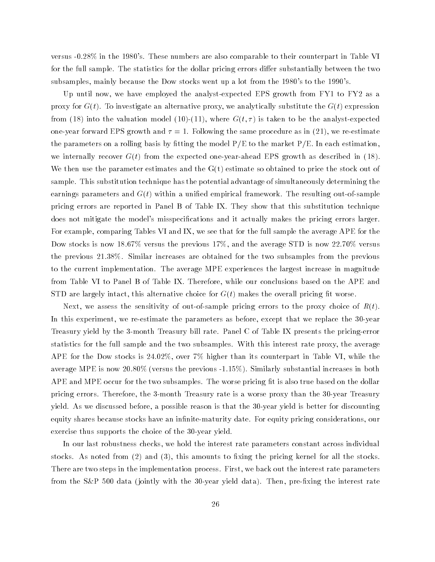versus -0.28% in the 1980's. These numbers are also comparable to their counterpart in Table VI for the full sample. The statistics for the dollar pricing errors differ substantially between the two subsamples, mainly because the Dow stocks went up a lot from the 1980's to the 1990's.

Up until now, we have employed the analyst-expected EPS growth from FY1 to FY2 as a proxy for  $G(t)$ . To investigate an alternative proxy, we analytically substitute the  $G(t)$  expression from (18) into the valuation model (10)-(11), where  $G(t, \tau)$  is taken to be the analyst-expected one-year forward EPS growth and  $\tau = 1$ . Following the same procedure as in (21), we re-estimate the parameters on a rolling basis by fitting the model  $P/E$  to the market  $P/E$ . In each estimation, we internally recover  $G(t)$  from the expected one-year-ahead EPS growth as described in (18). We then use the parameter estimates and the  $G(t)$  estimate so obtained to price the stock out of sample. This substitution technique has the potential advantage of simultaneously determining the earnings parameters and  $G(t)$  within a unified empirical framework. The resulting out-of-sample pricing errors are reported in Panel B of Table IX. They show that this substitution technique does not mitigate the model's misspecifications and it actually makes the pricing errors larger. For example, comparing Tables VI and IX, we see that for the full sample the average APE for the Dow stocks is now 18.67% versus the previous 17%, and the average STD is now 22.70% versus the previous 21.38%. Similar increases are obtained for the two subsamples from the previous to the current implementation. The average MPE experiences the largest increase in magnitude from Table VI to Panel B of Table IX. Therefore, while our conclusions based on the APE and STD are largely intact, this alternative choice for  $G(t)$  makes the overall pricing fit worse.

Next, we assess the sensitivity of out-of-sample pricing errors to the proxy choice of  $R(t)$ . In this experiment, we re-estimate the parameters as before, except that we replace the 30-year Treasury yield by the 3-month Treasury bill rate. Panel C of Table IX presents the pricing-error statistics for the full sample and the two subsamples. With this interest rate proxy, the average APE for the Dow stocks is 24.02%, over 7% higher than its counterpart in Table VI, while the average MPE is now 20.80% (versus the previous -1.15%). Similarly substantial increases in both APE and MPE occur for the two subsamples. The worse pricing fit is also true based on the dollar pricing errors. Therefore, the 3-month Treasury rate is a worse proxy than the 30-year Treasury yield. As we discussed before, a possible reason is that the 30-year yield is better for discounting equity shares because stocks have an infinite-maturity date. For equity pricing considerations, our exercise thus supports the choice of the 30-year yield.

In our last robustness checks, we hold the interest rate parameters constant across individual stocks. As noted from  $(2)$  and  $(3)$ , this amounts to fixing the pricing kernel for all the stocks. There are two steps in the implementation process. First, we back out the interest rate parameters from the S&P 500 data (jointly with the 30-year yield data). Then, pre-fixing the interest rate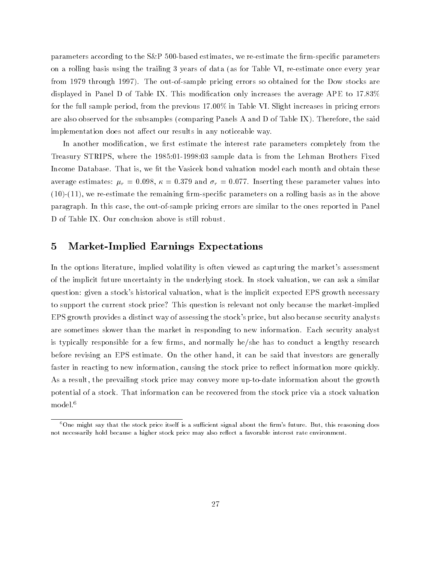parameters according to the  $S\&P$  500-based estimates, we re-estimate the firm-specific parameters on a rolling basis using the trailing 3 years of data (as for Table VI, re-estimate once every year from 1979 through 1997). The out-of-sample pricing errors so obtained for the Dow stocks are displayed in Panel D of Table IX. This modication only increases the average APE to 17.83% for the full sample period, from the previous 17.00% in Table VI. Slight increases in pricing errors are also observed for the subsamples (comparing Panels A and D of Table IX). Therefore, the said implementation does not affect our results in any noticeable way.

In another modification, we first estimate the interest rate parameters completely from the Treasury STRIPS, where the 1985:01-1998:03 sample data is from the Lehman Brothers Fixed Income Database. That is, we fit the Vasicek bond valuation model each month and obtain these average estimates:  $r$   $\mu$   $\mu$  = 0:098,  $\mu$  = 0:0779 and r  $\mu$  = 0:077. In the case parameter values into  $\mu$  $(10)-(11)$ , we re-estimate the remaining firm-specific parameters on a rolling basis as in the above paragraph. In this case, the out-of-sample pricing errors are similar to the ones reported in Panel D of Table IX. Our conclusion above is still robust.

#### $\mathbf 5$ 5 Market-Implied Earnings Expectations

In the options literature, implied volatility is often viewed as capturing the market's assessment of the implicit future uncertainty in the underlying stock. In stock valuation, we can ask a similar question: given a stock's historical valuation, what is the implicit expected EPS growth necessary to support the current stock price? This question is relevant not only because the market-implied EPS growth provides a distinct way of assessing the stock's price, but also because security analysts are sometimes slower than the market in responding to new information. Each security analyst is typically responsible for a few firms, and normally he/she has to conduct a lengthy research before revising an EPS estimate. On the other hand, it can be said that investors are generally faster in reacting to new information, causing the stock price to reflect information more quickly. As a result, the prevailing stock price may convey more up-to-date information about the growth potential of a stock. That information can be recovered from the stock price via a stock valuation model.<sup>6</sup>

 ${}^6$ One might say that the stock price itself is a sufficient signal about the firm's future. But, this reasoning does not necessarily hold because a higher stock price may also reflect a favorable interest rate environment.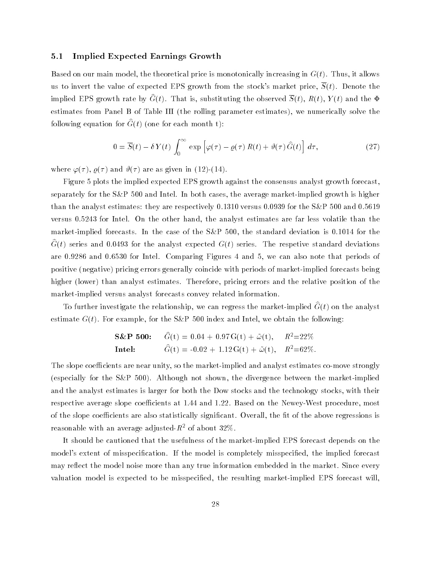#### 5.1 Implied Expected Earnings Growth

Based on our main model, the theoretical price is monotonically increasing in  $G(t)$ . Thus, it allows us to invert the value of expected EPS growth from the stock's market price,  $\overline{S}(t)$ . Denote the implied ETS growth rate by  $G(t)$ . That is, substituting the observed  $S(t)$ ,  $R(t)$ ,  $I(t)$  and the  $\Psi$ estimates from Panel B of Table III (the rolling parameter estimates), we numerically solve the following equation for  $G(t)$  (one for each month  $t$ ).

$$
0 = \overline{S}(t) - \delta Y(t) \int_0^\infty \exp \left[ \varphi(\tau) - \varrho(\tau) R(t) + \vartheta(\tau) \widehat{G}(t) \right] d\tau, \tag{27}
$$

where  $\varphi(\tau)$ ,  $\varrho(\tau)$  and  $\vartheta(\tau)$  are as given in (12)-(14).

Figure 5 plots the implied expected EPS growth against the consensus analyst growth forecast, separately for the S&P 500 and Intel. In both cases, the average market-implied growth is higher than the analyst estimates: they are respectively 0.1310 versus 0.0939 for the S&P 500 and 0.5619 versus 0.5243 for Intel. On the other hand, the analyst estimates are far less volatile than the market-implied forecasts. In the case of the S&P 500, the standard deviation is 0.1014 for the  $G(t)$  series and 0.0495 for the analyst expected  $G(t)$  series. The respetive standard deviations are 0.9286 and 0.6530 for Intel. Comparing Figures 4 and 5, we can also note that periods of positive (negative) pricing errors generally coincide with periods of market-implied forecasts being higher (lower) than analyst estimates. Therefore, pricing errors and the relative position of the market-implied versus analyst forecasts convey related information.

To further investigate the relationship, we can regress the market-implied  $G(t)$  on the analyst estimate  $G(t)$ . For example, for the S&P 500 index and Intel, we obtain the following:

**S&P 500:** 
$$
\hat{G}(t) = 0.04 + 0.97 \, \text{G}(t) + \tilde{\omega}(t), \quad R^2 = 22\%
$$
\n**Intel:**  $\hat{G}(t) = -0.02 + 1.12 \, \text{G}(t) + \tilde{\omega}(t), \quad R^2 = 62\%$ .

The slope coefficients are near unity, so the market-implied and analyst estimates co-move strongly (especially for the S&P 500). Although not shown, the divergence between the market-implied and the analyst estimates is larger for both the Dow stocks and the technology stocks, with their respective average slope coefficients at 1.44 and 1.22. Based on the Newey-West procedure, most of the slope coefficients are also statistically significant. Overall, the fit of the above regressions is reasonable with an average adjusted- $R^2$  of about 32%.

It should be cautioned that the usefulness of the market-implied EPS forecast depends on the model's extent of misspecification. If the model is completely misspecified, the implied forecast may reflect the model noise more than any true information embedded in the market. Since every valuation model is expected to be misspecied, the resulting market-implied EPS forecast will,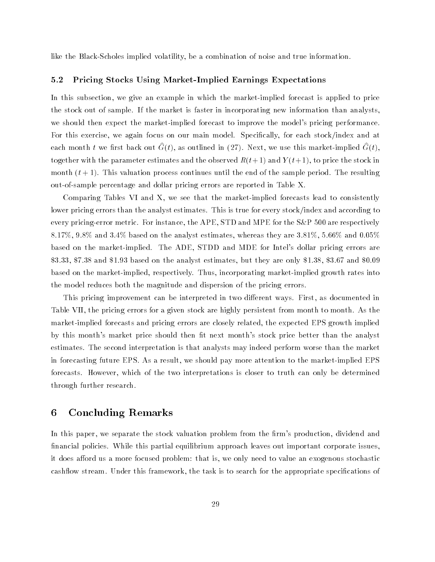like the Black-Scholes implied volatility, be a combination of noise and true information.

#### 5.2 Pricing Stocks Using Market-Implied Earnings Expectations

In this subsection, we give an example in which the market-implied forecast is applied to price the stock out of sample. If the market is faster in incorporating new information than analysts, we should then expect the market-implied forecast to improve the model's pricing performance. For this exercise, we again focus on our main model. Specically, for each stock/index and at each month  $\iota$  we hist back out  $G(\iota)$ , as outlined in (27). Next, we use this market-implied  $G(\iota)$ , together with the parameter estimates and the observed  $R(t+1)$  and  $Y(t+1)$ , to price the stock in month  $(t + 1)$ . This valuation process continues until the end of the sample period. The resulting out-of-sample percentage and dollar pricing errors are reported in Table X.

Comparing Tables VI and X, we see that the market-implied forecasts lead to consistently lower pricing errors than the analyst estimates. This is true for every stock/index and according to every pricing-error metric. For instance, the APE, STD and MPE for the S&P 500 are respectively 8.17%, 9.8% and 3.4% based on the analyst estimates, whereas they are 3.81%, 5.66% and 0.05% based on the market-implied. The ADE, STDD and MDE for Intel's dollar pricing errors are \$3.33, \$7.38 and \$1.93 based on the analyst estimates, but they are only \$1.38, \$3.67 and \$0.09 based on the market-implied, respectively. Thus, incorporating market-implied growth rates into the model reduces both the magnitude and dispersion of the pricing errors.

This pricing improvement can be interpreted in two different ways. First, as documented in Table VII, the pricing errors for a given stock are highly persistent from month to month. As the market-implied forecasts and pricing errors are closely related, the expected EPS growth implied by this month's market price should then fit next month's stock price better than the analyst estimates. The second interpretation is that analysts may indeed perform worse than the market in forecasting future EPS. As a result, we should pay more attention to the market-implied EPS forecasts. However, which of the two interpretations is closer to truth can only be determined through further research.

#### 6 Concluding Remarks

In this paper, we separate the stock valuation problem from the firm's production, dividend and financial policies. While this partial equilibrium approach leaves out important corporate issues, it does afford us a more focused problem: that is, we only need to value an exogenous stochastic cashflow stream. Under this framework, the task is to search for the appropriate specifications of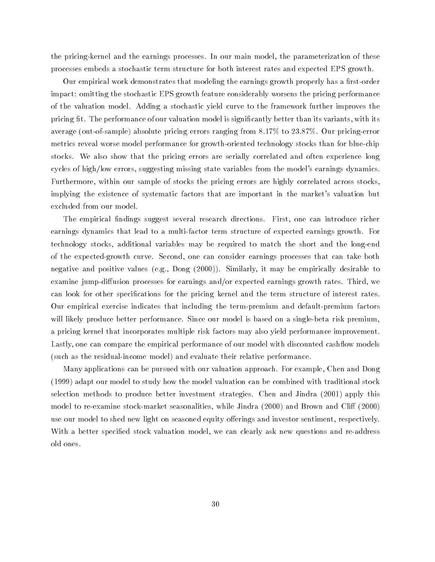the pricing-kernel and the earnings processes. In our main model, the parameterization of these processes embeds a stochastic term structure for both interest rates and expected EPS growth.

Our empirical work demonstrates that modeling the earnings growth properly has a first-order impact: omitting the stochastic EPS growth feature considerably worsens the pricing performance of the valuation model. Adding a stochastic yield curve to the framework further improves the pricing fit. The performance of our valuation model is significantly better than its variants, with its average (out-of-sample) absolute pricing errors ranging from 8.17% to 23.87%. Our pricing-error metrics reveal worse model performance for growth-oriented technology stocks than for blue-chip stocks. We also show that the pricing errors are serially correlated and often experience long cycles of high/low errors, suggesting missing state variables from the model's earnings dynamics. Furthermore, within our sample of stocks the pricing errors are highly correlated across stocks, implying the existence of systematic factors that are important in the market's valuation but excluded from our model.

The empirical findings suggest several research directions. First, one can introduce richer earnings dynamics that lead to a multi-factor term structure of expected earnings growth. For technology stocks, additional variables may be required to match the short and the long-end of the expected-growth curve. Second, one can consider earnings processes that can take both negative and positive values (e.g., Dong (2000)). Similarly, it may be empirically desirable to examine jump-diffusion processes for earnings and/or expected earnings growth rates. Third, we can look for other specications for the pricing kernel and the term structure of interest rates. Our empirical exercise indicates that including the term-premium and default-premium factors will likely produce better performance. Since our model is based on a single-beta risk premium, a pricing kernel that incorporates multiple risk factors may also yield performance improvement. Lastly, one can compare the empirical performance of our model with discounted cashflow models (such as the residual-income model) and evaluate their relative performance.

Many applications can be pursued with our valuation approach. For example, Chen and Dong (1999) adapt our model to study how the model valuation can be combined with traditional stock selection methods to produce better investment strategies. Chen and Jindra (2001) apply this model to re-examine stock-market seasonalities, while Jindra  $(2000)$  and Brown and Cliff  $(2000)$ use our model to shed new light on seasoned equity offerings and investor sentiment, respectively. With a better specified stock valuation model, we can clearly ask new questions and re-address old ones.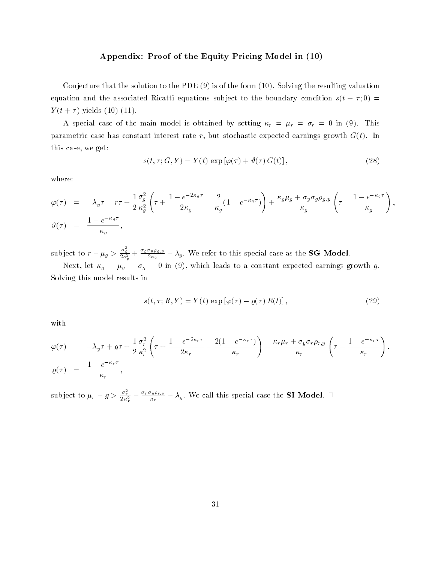#### Appendix: Proof of the Equity Pricing Model in (10)

Conjecture that the solution to the PDE (9) is of the form (10). Solving the resulting valuation equation and the associated Ricatti equations subject to the boundary condition  $s(t + \tau; 0)$  =  $Y(t + \tau)$  yields (10)-(11).

A special case of the main model is obtained by setting r <sup>=</sup> r <sup>=</sup> r = 0 in (9). This parametric case has constant interest rate r, but stochastic expected earnings growth  $G(t)$ . In this case, we get:

$$
s(t, \tau; G, Y) = Y(t) \exp \left[\varphi(\tau) + \vartheta(\tau) G(t)\right],\tag{28}
$$

where:

$$
\varphi(\tau) = -\lambda_y \tau - r\tau + \frac{1}{2} \frac{\sigma_g^2}{\kappa_g^2} \left( \tau + \frac{1 - e^{-2\kappa_g \tau}}{2\kappa_g} - \frac{2}{\kappa_g} (1 - e^{-\kappa_g \tau}) \right) + \frac{\kappa_g \mu_g + \sigma_y \sigma_g \rho_{g,y}}{\kappa_g} \left( \tau - \frac{1 - e^{-\kappa_g \tau}}{\kappa_g} \right),
$$
  

$$
\vartheta(\tau) = \frac{1 - e^{-\kappa_g \tau}}{\kappa_g},
$$

subject to  $r - \mu_q > \frac{g}{2\kappa^2}$  +  $\frac{\sigma_{\bar{g}}}{2\kappa_g^2} + \frac{\sigma_g \sigma_y \rho_{g,y}}{2\kappa_g} - \lambda_y$ . We refer to this special case as the **SG Model**.

 $N$  in a constant let g  $N$  in (9), which leads to a constant expected earnings growth growth growth growth growth growth growth growth growth growth growth growth growth growth growth growth growth growth growth growth g Solving this model results in

$$
s(t, \tau; R, Y) = Y(t) \exp \left[\varphi(\tau) - \varrho(\tau) R(t)\right],\tag{29}
$$

with

$$
\varphi(\tau) = -\lambda_y \tau + g\tau + \frac{1}{2} \frac{\sigma_r^2}{\kappa_r^2} \left( \tau + \frac{1 - e^{-2\kappa_r \tau}}{2\kappa_r} - \frac{2(1 - e^{-\kappa_r \tau})}{\kappa_r} \right) - \frac{\kappa_r \mu_r + \sigma_y \sigma_r \rho_{r,y}}{\kappa_r} \left( \tau - \frac{1 - e^{-\kappa_r \tau}}{\kappa_r} \right),
$$
  

$$
\varrho(\tau) = \frac{1 - e^{-\kappa_r \tau}}{\kappa_r},
$$

subject to  $\mu_r - g > \frac{\sigma_r}{2 \kappa_r^2} - \frac{\sigma_r \sigma_y \rho_{r,y}}{\kappa_r} - \lambda_y$ . We call this special case the SI Model.  $\Box$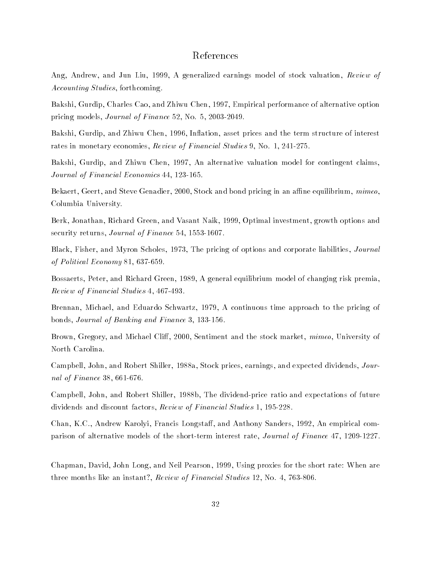#### References

Ang, Andrew, and Jun Liu, 1999, A generalized earnings model of stock valuation, Review of Accounting Studies, forthcoming.

Bakshi, Gurdip, Charles Cao, and Zhiwu Chen, 1997, Empirical performance of alternative option pricing models, Journal of Finance 52, No. 5, 2003-2049.

Bakshi, Gurdip, and Zhiwu Chen, 1996, Inflation, asset prices and the term structure of interest rates in monetary economies, Review of Financial Studies 9, No. 1, 241-275.

Bakshi, Gurdip, and Zhiwu Chen, 1997, An alternative valuation model for contingent claims, Journal of Financial Economics 44, 123-165.

Bekaert, Geert, and Steve Genadier, 2000, Stock and bond pricing in an affine equilibrium, mimeo, Columbia University.

Berk, Jonathan, Richard Green, and Vasant Naik, 1999, Optimal investment, growth options and security returns, Journal of Finance 54, 1553-1607.

Black, Fisher, and Myron Scholes, 1973, The pricing of options and corporate liabilities, Journal of Political Economy 81, 637-659.

Bossaerts, Peter, and Richard Green, 1989, A general equilibrium model of changing risk premia, Review of Financial Studies 4, 467-493.

Brennan, Michael, and Eduardo Schwartz, 1979, A continuous time approach to the pricing of bonds, Journal of Banking and Finance 3, 133-156.

Brown, Gregory, and Michael Cliff, 2000, Sentiment and the stock market, *mimeo*, University of North Carolina.

Campbell, John, and Robert Shiller, 1988a, Stock prices, earnings, and expected dividends, Journal of Finance 38, 661-676.

Campbell, John, and Robert Shiller, 1988b, The dividend-price ratio and expectations of future dividends and discount factors, Review of Financial Studies 1, 195-228.

Chan, K.C., Andrew Karolyi, Francis Longstaff, and Anthony Sanders, 1992, An empirical comparison of alternative models of the short-term interest rate, Journal of Finance 47, 1209-1227.

Chapman, David, John Long, and Neil Pearson, 1999, Using proxies for the short rate: When are three months like an instant?, Review of Financial Studies 12, No. 4, 763-806.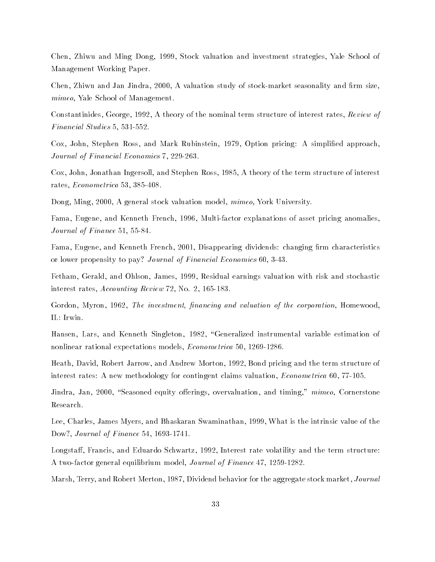Chen, Zhiwu and Ming Dong, 1999, Stock valuation and investment strategies, Yale School of Management Working Paper.

Chen, Zhiwu and Jan Jindra, 2000, A valuation study of stock-market seasonality and firm size, mimeo, Yale School of Management.

Constantinides, George, 1992, A theory of the nominal term structure of interest rates, Review of Financial Studies 5, 531-552.

Cox, John, Stephen Ross, and Mark Rubinstein, 1979, Option pricing: A simplied approach, Journal of Financial Economics 7, 229-263.

Cox, John, Jonathan Ingersoll, and Stephen Ross, 1985, A theory of the term structure of interest rates, Econometrica 53, 385-408.

Dong, Ming, 2000, A general stock valuation model, *mimeo*, York University.

Fama, Eugene, and Kenneth French, 1996, Multi-factor explanations of asset pricing anomalies, Journal of Finance 51, 55-84.

Fama, Eugene, and Kenneth French, 2001, Disappearing dividends: changing firm characteristics or lower propensity to pay? Journal of Financial Economics 60, 3-43.

Fetham, Gerald, and Ohlson, James, 1999, Residual earnings valuation with risk and stochastic interest rates, Accounting Review 72, No. 2, 165-183.

Gordon, Myron, 1962, The investment, financing and valuation of the corporation, Homewood, IL: Irwin.

Hansen, Lars, and Kenneth Singleton, 1982, "Generalized instrumental variable estimation of nonlinear rational expectations models, Econometrica 50, 1269-1286.

Heath, David, Robert Jarrow, and Andrew Morton, 1992, Bond pricing and the term structure of interest rates: A new methodology for contingent claims valuation, Econometrica 60, 77-105.

Jindra, Jan, 2000, "Seasoned equity offerings, overvaluation, and timing," mimeo, Cornerstone Research.

Lee, Charles, James Myers, and Bhaskaran Swaminathan, 1999, What is the intrinsic value of the Dow?, Journal of Finance 54, 1693-1741.

Longstaff, Francis, and Eduardo Schwartz, 1992, Interest rate volatility and the term structure: A two-factor general equilibrium model, Journal of Finance 47, 1259-1282.

Marsh, Terry, and Robert Merton, 1987, Dividend behavior for the aggregate stock market, Journal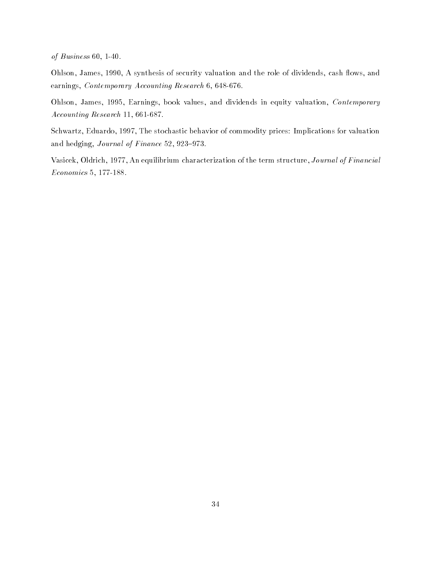of Business 60, 1-40.

Ohlson, James, 1990, A synthesis of security valuation and the role of dividends, cash flows, and earnings, Contemporary Accounting Research 6, 648-676.

Ohlson, James, 1995, Earnings, book values, and dividends in equity valuation, Contemporary Accounting Research 11, 661-687.

Schwartz, Eduardo, 1997, The stochastic behavior of commodity prices: Implications for valuation and hedging, Journal of Finance 52, 923-973.

Vasicek, Oldrich, 1977, An equilibrium characterization of the term structure, Journal of Financial Economics 5, 177-188.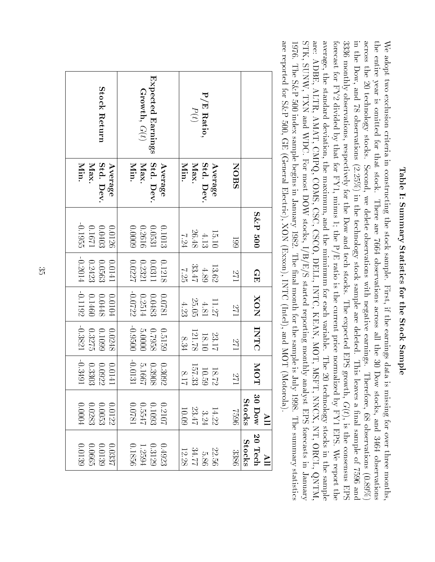### Table I: Summary Statistics for the StockSample

We adopt two exclusion criteriain. constructingthe<br> stock sample. First, $\equiv$ the<br> earnings data is missing for over three months, the entire year is omitted for $t_{\rm{last}}$  stock. There are 7664 observations across $\overset{\mathtt{p}}{=}%$  theප Dow stocks, and 3464 observations across the 20 technology stocks. Second, $\lessapprox$  delete observations with negative earnings. Therefore, 68 observations0.89%)<br>(70.89%)<br>596 and in. the Dow, and $\approx$  observations (2.25%)in. the technology stock sample are deleted. This leaves a nal sample $\Xi$  7596دي<br>33 monthly observations, respectively for the Dow and tech stocks. The expectedEPS growth,  $G(t)$  is the consensus $\stackrel{\text{EB}}{\text{EB}}$ forecast for $5\lambda$  divided $\mathcal{S}$  $\thinspace$  for FY1, minus 1; the P/E ratio is the current price normalized $\mathcal{S}$  FY1 EPS.≶<br>ক report the average, the standard deviation, the maximum, andthe<br> mimimum for each variable. The20 technology stocksin. the sample are: ADBE, ALTR, AMAT, CMPQ, COMS, CSC, CSCO, DELL, INTC, KEAN, MOT, MSFT, NNCX, NT, ORCL, QNTM, January STK, SUNW, TXN and WDC. For most DOW stocks, $\rm S/H/H$  started reporting monthly analystEPS forecastsin. 1976. The $\Omega_{\rm{S}}$ <u>0م</u> index sample beginsin. January 1982. The nal month for the sample is $\mathop{\rm Im}\nolimits\Gamma$  1998. The summary statistics a<br>T reported for S&P 500, GE (General Electric), XON (Exxon), $0\,\mathrm{LNI}$  (Intel), and MOT(Motorola).

| S&P 500                                                                                                                             | $\mathbb{E}$                                                          | XON                                               | <b>INTC</b>                         | <b>NOT</b>                                      | 30 Dow<br>ТV                                                                                                                  |
|-------------------------------------------------------------------------------------------------------------------------------------|-----------------------------------------------------------------------|---------------------------------------------------|-------------------------------------|-------------------------------------------------|-------------------------------------------------------------------------------------------------------------------------------|
|                                                                                                                                     |                                                                       |                                                   |                                     |                                                 | <b>Stocks</b>                                                                                                                 |
| 199                                                                                                                                 | $U\overline{C}$                                                       | $U\overline{C}$                                   | $\mathbb{Z}^7$                      | 22                                              | 9692                                                                                                                          |
|                                                                                                                                     |                                                                       |                                                   |                                     |                                                 |                                                                                                                               |
|                                                                                                                                     |                                                                       | $4.81$                                            |                                     |                                                 |                                                                                                                               |
|                                                                                                                                     | 33.47                                                                 | 25.05                                             | 121.78                              |                                                 | $\begin{array}{c} 14.22 \\ 3.24 \\ 23.47 \end{array}$                                                                         |
| 7.24                                                                                                                                | 7.25                                                                  | 4.23                                              | 8.34                                | 8.1<br>┙                                        | $0.09\,$                                                                                                                      |
|                                                                                                                                     |                                                                       |                                                   |                                     |                                                 |                                                                                                                               |
|                                                                                                                                     |                                                                       |                                                   |                                     |                                                 |                                                                                                                               |
|                                                                                                                                     |                                                                       |                                                   |                                     | √                                               | $\begin{array}{c} 0.2107 \\ 0.1093 \\ 0.5547 \end{array}$                                                                     |
|                                                                                                                                     | 1720.0                                                                | -0.0722                                           | 0096.0                              | $-0.013$                                        | 1820.0                                                                                                                        |
|                                                                                                                                     |                                                                       |                                                   |                                     |                                                 |                                                                                                                               |
| 0.0126                                                                                                                              | 1710.0                                                                | 0.0104                                            | 0.0248                              | 0.014                                           |                                                                                                                               |
| 0.0403                                                                                                                              | 8990.0                                                                | 0.0448                                            | 0.1099                              |                                                 |                                                                                                                               |
| 12910                                                                                                                               | 0.2423                                                                | 09710                                             | 0.3275                              | 0.330                                           | $\begin{array}{c} 0.0122 \\ 0.0053 \\ 0.0283 \\ 0.0004 \end{array}$                                                           |
| -0.1955                                                                                                                             | $+0.2014\,$                                                           |                                                   |                                     |                                                 |                                                                                                                               |
| Max.<br>Min.<br>Std. Dev.<br><b>NOBS</b><br>Min.<br>Max.<br>Std. Dev.<br>Average<br>Average<br>Min.<br>Max.<br>Std. Dev.<br>Average | 6000°0<br>0.2616<br>0.1013<br>0.0531<br>$\frac{4.13}{26.48}$<br>15.10 | $0.1218\,$<br>0.2321<br>0.0311<br>13.62<br>$4.89$ | 0.2514<br>1820.0<br>0.0483<br>11.27 | 00003<br>8962.0<br>0.5159<br>23.17<br>$18.10\,$ | T61192<br>-0.3821<br>$-0.349$<br>5.166<br>0.390<br>0.309<br>$0.0141$<br>0.0922<br>$\frac{18.72}{157.33}$<br>$\infty$ $\infty$ |

ينې<br>آب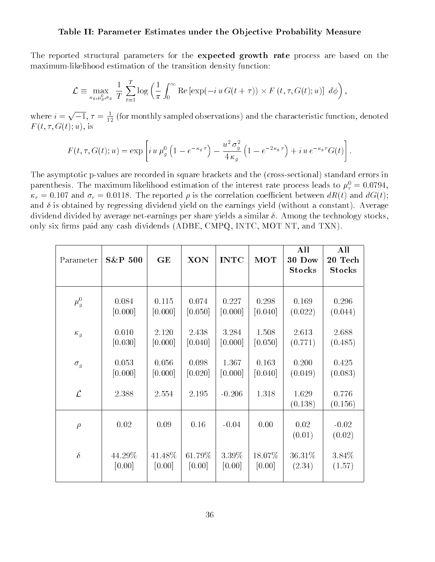#### Table II: Parameter Estimates under the Ob jective Probability Measure

The reported structural parameters for the **expected growth rate** process are based on the maximum-likelihood estimation of the transition density function:

$$
\mathcal{L} \equiv \max_{\kappa_g, \mu_g^0, \sigma_g} \frac{1}{T} \sum_{t=1}^T \log \left( \frac{1}{\pi} \int_0^\infty \text{Re} \left[ \exp(-i u G(t+\tau)) \times F(t,\tau,G(t);u) \right] d\phi \right),
$$

where  $i = \sqrt{-1}$ ,  $\tau = \frac{1}{12}$  (for monthly sampled observations) and the characteristic function, denoted  $\cdots$   $\cdots$   $\cdots$   $\cdots$ 

$$
F(t,\tau,G(t);u) = \exp\left[i u \mu_g^0 \left(1 - e^{-\kappa_g \tau}\right) - \frac{u^2 \sigma_g^2}{4 \kappa_g} \left(1 - e^{-2\kappa_g \tau}\right) + i u e^{-\kappa_g \tau} G(t)\right].
$$

The asymptotic p-values are recorded in square brackets and the (cross-sectional) standard errors in parenthesis. The maximum likelihood estimation of the interest rate process leads to  $\mu_r^* = 0.0794,$ rreported the report of  $\{f\}$  and  $f$  is the reported in the correlation coefficient between dreds(t); and dG(t); and  $\delta$  is obtained by regressing dividend yield on the earnings yield (without a constant). Average dividend divided by average net-earnings per share yields a similar  $\delta$ . Among the technology stocks, only six firms paid any cash dividends (ADBE, CMPQ, INTC, MOT NT, and TXN).

| Parameter     | <b>S&amp;P 500</b> | GE      | <b>XON</b> | <b>INTC</b> | <b>MOT</b> | All<br>30 Dow    | All<br>20 Tech    |
|---------------|--------------------|---------|------------|-------------|------------|------------------|-------------------|
|               |                    |         |            |             |            | <b>Stocks</b>    | <b>Stocks</b>     |
| $\mu_g^0$     | 0.084              | 0.115   | 0.074      | 0.227       | 0.298      | 0.169            | 0.296             |
|               | [0.000]            | [0.000] | [0.050]    | [0.000]     | [0.040]    | (0.022)          | (0.044)           |
| $\kappa_g$    | 0.010              | 2.120   | 2.438      | 3.284       | 1.508      | 2.613            | 2.688             |
|               | [0.030]            | [0.000] | [0.040]    | [0.000]     | [0.050]    | (0.771)          | (0.485)           |
| $\sigma_g$    | 0.053              | 0.056   | 0.098      | 1.367       | 0.163      | 0.200            | 0.425             |
|               | [0.000]            | [0.000] | [0.020]    | [0.000]     | [0.040]    | (0.049)          | (0.083)           |
| $\mathcal{L}$ | 2.388              | 2.554   | 2.195      | $-0.206$    | 1.318      | 1.629<br>(0.138) | 0.776<br>(0.156)  |
| $\rho$        | 0.02               | 0.09    | 0.16       | $-0.04$     | 0.00       | 0.02<br>(0.01)   | $-0.02$<br>(0.02) |
| $\delta$      | 44.29%             | 41.48%  | 61.79%     | 3.39%       | 18.07%     | 36.31%           | 3.84\%            |
|               | [0.00]             | [0.00]  | [0.00]     | [0.00]      | [0.00]     | (2.34)           | (1.57)            |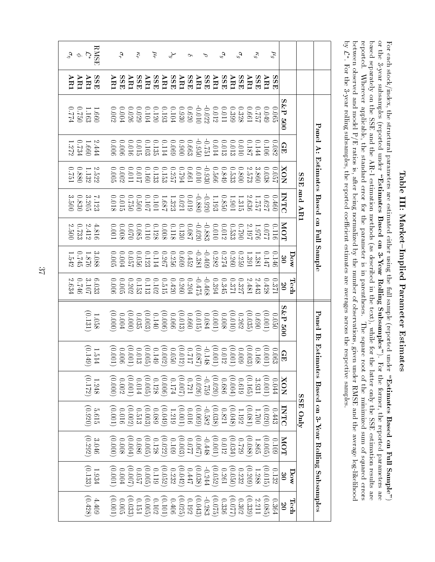# Table III: Market{Implied ParameterEstimates

For each stock/index, the structural parameters are estimated either using the $\Xi$  sample (reported under  $\rm{``E}$ stimates Based on Full $\operatorname{Sample}")$ or the 3-year subsamples (reportedbaran<br>Under  $\rm \Omega$  . Estimates Based on 3-Year Rolling Subsamples"). For the former, the reported parametersare<br>J reported.rately c<br>Wherev based separately on theSS<br>E and the AR-1 estimation methods (as describedin. the text), while for the latter only theSS<br>E estimation results are er applicable, the standard error for the parameter isin. parentheses. The square root $\Omega$  the minimized sum $\Omega$ squared errors<br>slog-likelihood er<br>errors between observed and model P/E ratios is, after being normalized $\mathcal{S}_{\mathbf{Q}}$  the number $\Omega$  observations, given under RMSE and the averageਬ ਛ L. For the 3-year rolling subsamples, the reported coecient estimates are averages across the respectivesamples.

| <b>RMSE</b><br>$\phi$ $\theta_{\mu}$<br>$\mathcal{L}^*$         | $\sigma_r$                          | ŕ۴<br>Ή                                                                                                                                                                                                                                                                                             | $\stackrel{\sim}{\sim}$ |                                     | $\mathcal{C}_{\mathcal{D}}$ | $\theta_{\,O}$    | $\mathcal{E}_{\mathcal{U}}$<br>κg                        |                                  |            |                                    |
|-----------------------------------------------------------------|-------------------------------------|-----------------------------------------------------------------------------------------------------------------------------------------------------------------------------------------------------------------------------------------------------------------------------------------------------|-------------------------|-------------------------------------|-----------------------------|-------------------|----------------------------------------------------------|----------------------------------|------------|------------------------------------|
| SSE<br>ARI<br>ARI                                               | AR1<br>SSE<br>$\overline{\text{A}}$ | <b>SSE</b><br>AR1                                                                                                                                                                                                                                                                                   | AR1<br>SSE              | ARI<br>SSEI<br>SSEI<br>SSEI<br>SSEI | AR1<br>SSE                  | <b>SSE</b><br>AR1 | <b>AR1</b><br><b>SSE</b><br><b>GSE</b>                   |                                  |            |                                    |
| $\begin{array}{c} 1.660 \\ 1.165 \\ 0.750 \\ 0.774 \end{array}$ |                                     |                                                                                                                                                                                                                                                                                                     |                         |                                     |                             |                   |                                                          | $58P$ 500                        |            |                                    |
| $\begin{array}{c} 2.444 \\ 1.660 \\ 0.734 \\ 1.272 \end{array}$ |                                     |                                                                                                                                                                                                                                                                                                     |                         |                                     |                             |                   |                                                          | ු<br>ල                           |            | Panel A:                           |
| $\begin{array}{c} 2.522 \\ 1.132 \\ 0.880 \\ 0.751 \end{array}$ |                                     |                                                                                                                                                                                                                                                                                                     |                         |                                     |                             |                   |                                                          | XON                              | <b>GSE</b> | Estimates                          |
| $\frac{7.123}{3.205}$<br>$\frac{0.830}{3.500}$                  |                                     |                                                                                                                                                                                                                                                                                                     |                         |                                     |                             |                   |                                                          | <b>INTC</b>                      | and AR1    | Based on                           |
| $\begin{array}{c} 4.816 \\ 2.412 \\ 0.733 \\ 2.500 \end{array}$ |                                     |                                                                                                                                                                                                                                                                                                     |                         |                                     |                             |                   |                                                          | LOM                              |            | <b>Tull</b>                        |
| $\begin{array}{c} 3.088 \\ 1.876 \\ 0.745 \\ 1.542 \end{array}$ |                                     | $\begin{array}{l} 0.113 \\ 0.113 \\ 0.012 \\ 0.000 \\ 0.000 \\ 0.000 \\ 0.000 \\ 0.000 \\ 0.000 \\ 0.000 \\ 0.000 \\ 0.000 \\ 0.000 \\ 0.000 \\ 0.000 \\ 0.000 \\ 0.000 \\ 0.000 \\ 0.000 \\ 0.000 \\ 0.000 \\ 0.000 \\ 0.000 \\ 0.000 \\ 0.000 \\ 0.000 \\ 0.000 \\ 0.000 \\ 0.000 \\ 0.000 \\ 0.$ |                         |                                     |                             |                   |                                                          | Dow<br>$\mathbf{30}$             |            | Sample                             |
| $\begin{array}{c} 6.033 \\ 3.107 \\ 2.634 \end{array}$          |                                     | $\begin{array}{l} 0.373 \\ 2.443 \\ 2.5443 \\ 2.65444 \\ 2.66544 \\ 2.67544 \\ 2.67544 \\ 2.67544 \\ 2.67544 \\ 2.67544 \\ 2.67544 \\ 2.67544 \\ 2.67544 \\ 2.67544 \\ 2.67544 \\ 2.67544 \\ 2.67544 \\ 2.67544 \\ 2.67544 \\ 2.67544 \\ 2.67544 \\ 2.67544 \\ 2.67544 \\ 2.67544 \\ 2$             |                         |                                     |                             |                   | 0.37.                                                    | ${\rm Tech}$<br>$\mathfrak{g}_0$ |            |                                    |
| (0.131)<br>$1.058\,$                                            |                                     | $\begin{array}{c} (0.00330)\\ (0.00000)\\ (0.00000)\\ (0.0000)\\ (0.0000)\\ (0.0000)\\ (0.0000)\\ (0.0000)\\ (0.000)\\ (0.000)\\ (0.000)\\ (0.000)\\ (0.000)\\ (0.000)\\ (0.000)\\ (0.000)\\ (0.000)\\ (0.000)\\ (0.000)\\ (0.000)\\ (0.000)\\ (0.000)\\ (0.000)\\ (0.000)\\ (0.000)\\ (0$          |                         |                                     |                             |                   | $\begin{array}{c} 0.050 \\ (0.001) \\ 0.001 \end{array}$ | S&P 500                          |            | Panel B: Esti                      |
| $1.514\atop 0.149$                                              |                                     |                                                                                                                                                                                                                                                                                                     |                         |                                     |                             |                   |                                                          | $\mathbb{E}$                     |            | mates                              |
| (0.172)<br>1.248                                                |                                     | $\begin{array}{l} 0.0000 \\ 0.0001 \\ 0.0000 \\ 0.0000 \\ 0.0000 \\ 0.0000 \\ 0.0000 \\ 0.0000 \\ 0.0000 \\ 0.0000 \\ 0.0000 \\ 0.0000 \\ 0.0000 \\ 0.0000 \\ 0.0000 \\ 0.0000 \\ 0.0000 \\ 0.0000 \\ 0.0000 \\ 0.0000 \\ 0.0000 \\ 0.0000 \\ 0.0000 \\ 0.0000 \\ 0.0000 \\ 0.0000 \\ 0.00$         |                         |                                     |                             |                   |                                                          | XON                              |            |                                    |
| (0.920)<br>5.615                                                | (0.001)                             | $\begin{array}{l} 0.000000\\[-4pt] 0.0000\\[-4pt] 0.0000\\[-4pt] 0.0000\\[-4pt] 0.0000\\[-4pt] 0.0000\\[-4pt] 0.0000\\[-4pt] 0.0000\\[-4pt] 0.0000\\[-4pt] 0.0000\\[-4pt] 0.000\\[-4pt] 0.0000\\[-4pt] 0.000\\[-4pt] 0.000\\[-4pt] 0.000\\[-4pt] 0.000\\[-4pt] 0.000\\[-4pt] 0.000\\[-4pt] 0$       |                         |                                     |                             |                   |                                                          | <b>INTC</b>                      | SSE Only   |                                    |
| (0.292)<br>3.046                                                | (0.000)                             |                                                                                                                                                                                                                                                                                                     |                         |                                     |                             |                   |                                                          | <b>NOT</b>                       |            |                                    |
| (0.133)<br>1.934                                                | (0.001)                             | $\begin{array}{l} (0.01015)\\[-4pt] 0.0103\\[-4pt] 2.880\\[-4pt] 2.820\\[-4pt] 2.830\\[-4pt] 2.830\\[-4pt] 2.830\\[-4pt] 2.830\\[-4pt] 2.830\\[-4pt] 2.830\\[-4pt] 2.830\\[-4pt] 2.830\\[-4pt] 2.830\\[-4pt] 2.830\\[-4pt] 2.830\\[-4pt] 2.830\\[-4pt] 2.830\\[-4pt] 2.830\\[-4pt] 2.830\\[-4pt]$   |                         |                                     |                             |                   | 0.132                                                    | $_{\rm{pow}}$<br>ဗွ              |            | Based on 3-Year Rolling Subsamples |
| (0.428)<br>4.409                                                | (0.001)                             | $\begin{array}{c} 0.333\\ 0.0032\\ 0.0033\\ 0.0003\\ 0.0000\\ 0.0000\\ 0.0000\\ 0.0000\\ 0.0000\\ 0.0000\\ 0.0000\\ 0.0000\\ 0.0000\\ 0.0000\\ 0.0000\\ 0.0000\\ 0.0000\\ 0.0000\\ 0.0000\\ 0.0000\\ 0.0000\\ 0.0000\\ 0.0000\\ 0.0000\\ 0.0000\\ 0.0000\\ 0.000$                                   |                         |                                     |                             |                   |                                                          | Tech<br>$\mathbb{S}^0$           |            |                                    |

 $\frac{2}{3}$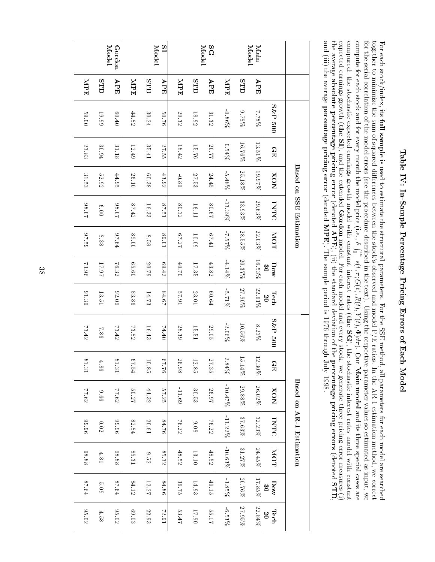# Table IV: In-SamplePercentagePricing Errors of Each Model

For each stock/index,its<br>its full sample is used $\overline{\mathbb{S}}^*$  estimate the structural parameters. For the SSE method, $\frac{\omega}{\Box}$  parameters for each model are searched correct together to minimize the sum $\Omega$  squareddifferences between the stock's observed and model P/E ratios.E, the AR-1 estimation method,≶<br>∂ for the serial correlationq the model errors (see the procedure describedin. the text). Using the respective parameter values so estimated as input,ສ<br>ລິ compute for each stock and for every month the model pricere des $\frac{1}{(1, e_{\cdot}, \delta)}$ 고 금 전<br>기 국 동 프 1 in the text). Us<br>  $s(t, \tau; G(t), R(t)),$  $\prec$  E.1  $\widehat{\mathbb{G}}$ le resp $\Phi$ C<br>UH<br>AFA Main model and its three special casesnput, we<br>cases are<br>constant compared: the stochastic-expected-earnings-growth model with constant interest rates (the SG), the stochastic-interest-rates model withexpected earnings growth (the SI), and the extended price (r.e.<br>odel with<br>Gordon model. For each model and every stock,≫<br>G generate three pricing-error measures $\widehat{\Xi}$  is the average absolute percentage pricingexten<br>error (denoted APE), $\widehat{\Xi}$  the standard deviation $\Omega$  the percentage pricing errors (denoted  $\frac{\partial}{\partial \mathbf{T}}\mathbf{D},$ and (iii) the average percentage pricingg<br>error<br>error r.<br>r (denot<br>(denoted MPE). The sample period is 1976 through July1998.

|         | Model      | Gordon |              |            | Model<br>IS |         | Model      | SG    |            | Model      | Main      |                                   |                                |
|---------|------------|--------|--------------|------------|-------------|---------|------------|-------|------------|------------|-----------|-----------------------------------|--------------------------------|
| MPE     | <b>STD</b> | APE    | $_{\rm NPE}$ | <b>STD</b> | APE         | MPE     | <b>STD</b> | APE   | MPE        | <b>STD</b> | APE       |                                   |                                |
| 59.00   | 19.99      | 0.40   | 44.82        | 30.24      | 92.05       | 29.32   | 18.92      | 31.32 | $-0.86\%$  | 82.6       | 2/87.7    | <b>S&amp;P</b><br>00 <sub>2</sub> |                                |
| 23.83   | 30.94      | 31.18  | 12.49        | 35.41      | 27.55       | 18.42   | 15.76      | 20.77 | $0.54\%$   | $16.76\%$  | $13.51\%$ | 요<br>면                            |                                |
| 31.53   | 52.92      | 44.95  | 26.10        | 60.38      | 43.92       | $-0.80$ | 27.53      | 24.45 | 5.48%      | 25.18%     | 19.97%    | XON                               |                                |
| 70.89   | 0.00       | 10.86  | 87.42        | 16.33      | 87.51       | 80.32   | 16.11      | 79.08 | $-13.39\%$ | 33.93%     | 29.63%    | INTC                              | <b>Based on SSE Estimation</b> |
| 62.59   | 8.38       | 197.64 | 00.08        | 8.58       | 89.01       | 17:29   | 10.09      | F19   | 757%       | 28.55%     | 22.03%    | <b>NOT</b>                        |                                |
| 96.81   | 16.71      | 76.32  | 03.60        | 20.79      | 69.42       | $07.04$ | 17.35      | 43.82 | 4.14%      | 20.37%     | 16.53%    | $_{\rm{DOW}}$<br>ဗိ               |                                |
| 91.39   | 13.51      | 60.09  | 83.86        | 14.73      | 29.67       | 57.91   | 23.01      | 60.64 | 2.71%      | 27.90%     | 22.61%    | Tech<br>20                        |                                |
| 73.42   | 7.86       | 73.42  | 73.82        | 16.43      | $0 + 1$     | 28.39   | 15.51      | 29.05 | $2.06\%$   | $10.56\%$  | 8.23%     | $5\&$ F 500                       |                                |
| 81.31   | 4.86       | 81.31  | 67.54        | $10.85\,$  | 91.19       | 26.98   | 12.85      | 27.35 | $2.84\%$   | $15.14\%$  | 2.30%     | 요<br>면                            |                                |
| 77.62   | 99.6       | 79.77  | 72.27        | 44.32      | 57.25       | -11.69  | 30.53      | 26.97 | 10.47%     | 29.88%     | 26.02%    | XON                               | Based on AR-1 Estimation       |
| 96'66   | $0.02\,$   | 96'66  | 82.84        | 20.61      | 84.76       | 76.22   | 80.6       | 76.22 | 11.22%     | 37.63%     | 32.23%    | <b>INTC</b>                       |                                |
| $98.88$ | $4.81$     | 98.88  | 85.31        | 9.52       | 85.32       | 48.52   | 13.10      | 48.52 | $-10.63\%$ | 31.27%     | 24.45%    | <b>NOT</b>                        |                                |
| F9.78   | 5.09       | 19.78  | 84.12        | 12.27      | 84.86       | 36.75   | 14.93      | 40.15 | $3.85\%$   | 20.76%     | 17.85%    | Dow<br>ဗိ                         |                                |
| 95.02   | 4.58       | 35.02  | 69.03        | $22.93\,$  | $12.91\,$   | 53.47   | 17.90      | 55.17 | $6.53\%$   | 27.95%     | 22.84%    | ${\rm Tech}$<br>$\overline{c}$    |                                |

 $\frac{3}{8}$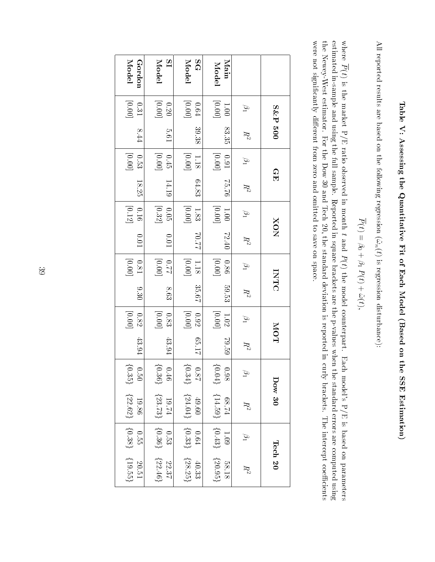### Table $\lesssim$  Assessing $\thinspace \ln$  QuantitativeFi<br>Fi of Each Model ${\rm (Based)}$  on the SSEEstimation)

All reported results are based on the followingregression  $(\tilde{\omega}_n(t))$  is regression disturbance):  $\Box$ 

$$
\begin{aligned}\n\text{ession } (\tilde{\omega}_n(t) \text{ is regression } \text{d}\text{:}\n\\ \overline{P}(t) &= \beta_0 + \beta_1 \, P(t) + \tilde{\omega}(t),\n\end{aligned}
$$

where  $\Box$  $\bigoplus$  is the market P/E ratio observedin. month<br>W  $\rightarrow$ an<br>Dan<br>Dan  $^+$  $\bigoplus$  the model counterpart. Each model's P/E is based on parameters using estimated in-sample and usingthe<br> full sample. Reportedin. square brackets arethe<br> p-values whenthe<br> standard errors are computedthe Newey-West estimator. For the Dow<u>مئ</u><br>0 and Tech 20, the standard deviation is reportedin. curly brackets. The interceptpued using<br>coefficients were not ${\rm sign}$ ificantly dierent from zero and omitted to save onspace.

|                         | $S\&P$ 500                  |       | $\mathbb{E}$                    |               | XON                                   |               | <b>INTC</b>                 |       | <b>NOT</b>       |       |           | Dow 30                                               |           | Tech 20 |
|-------------------------|-----------------------------|-------|---------------------------------|---------------|---------------------------------------|---------------|-----------------------------|-------|------------------|-------|-----------|------------------------------------------------------|-----------|---------|
|                         | $\beta_1$                   | $R^2$ | $\beta_1$                       | $\tilde{R}^2$ | $\beta_1$                             | $\tilde{R}^2$ | $\beta_1$                   | $R^2$ | $\beta_1$        | $R^2$ | $\beta_1$ | R2                                                   | $\beta_1$ | $R^2$   |
| Main<br>Model           | $[0.00]$<br>1.001           | 83.35 | $\left[00.01\right]$<br>16.0    | 92.92         | $\left[00.0\right]$ ,<br>$00^{\circ}$ | 72.40         | 0.86<br>$\left[00.0\right]$ | 59.53 | $[0.00]$<br>1.02 | 69.61 | 86.0      | $0.04$ } {14.59} {0.43} {20.95}<br>12:89             | 60.1      | 58.18   |
| Model<br>SG             | $[0.00]$<br>$0.64\,$        | 39.38 | [000]<br>1.18                   | 64.83         | $[0.00]$<br>1.83                      | 77.07         | $[0.00]$<br>$1.18$          | 35.67 | 76.0<br>$[00.0]$ | 65.17 | 78.0      | $0.34\}$ {24.04} { $0.33\}$ {28.25}<br>$09.64$       | 0.64      | 40.33   |
| Model<br>$\overline{B}$ | $\left[0.00\right]$<br>0.20 | 19.6  | $0.45\,$<br>$\left[00.0\right]$ | 14.19         | 10.05<br>$\left[ 0.32\right]$         | 0.01          | $[0.00]$<br>22.0            | 8.63  | $[0.00]$<br>0.83 | 43.94 | 9f.0      | $0.36$ } $\{23.73\}$ $\{0.36\}$ $\{22.46\}$<br>19.74 | 0.53      | 22.37   |
| Model<br>Gordon         | $\left[0.00\right]$<br>181  | 8.44  | $[00.0]$<br>0.53                | 18.25         | 0.16<br>$\left[0.12\right]$           | 10.01         | $[0.00]$<br>0.81            | 0.30  | $[0.00]$<br>0.82 | 43.94 | 0.50      | $0.35\}$ {22.62} {0.38} {19.55}<br>19.86             | 0.55      | 20.51   |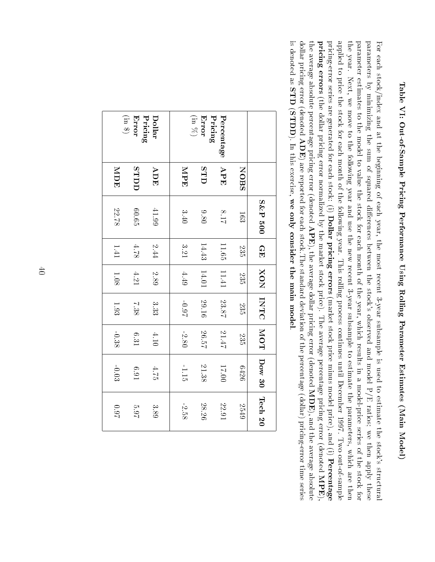## Table $\leq$  Out-of-Sample Pricing Performance Using Rolling Parameter Estimates (MainModel)

For each stock/index and $\stackrel{\infty}{\pm}$  the beginningቧ<br>ት each year, the most recent 3-year subsample is used to estimate the stock's structural these parameters $\rm{g}$  minimizing the sum of squared dierences between the stock's observed and model $\rm{H}/\rm{H}$  ratios; we then $\Lambda$ dde parameter estimates tothe<br> model to valuethe<br> stock for each month ofthe<br> year, which resultsin. a model-price series ofthe<br> stock for then the<br> year. Next,≳<br>∂ move to the following year and usethe<br> new recent 3-year subsample to estimate the parameters, which areapplied to price the stock for each monthቧ<br>ት the following year. This rolling process continues until December 1997.Lwo out-of-sample pricing-error series are generated for each stock: $\widehat{\Xi}$  5 Dollar pricing errors (market stock price minus model price), and $\odot$  a ut-of-sample<br>**Percentage** pricing errors (the dollar pricing error normalized $\mathbf{\hat{S}}$  the market stock price). The average percentage pricing error (denoted MPE), the average absolute percentage pricing error (denoted APE), the average dollar pricing error (denoted MDE), and the averageMPE)<br>absolute dollar pricing error (denoted ADE)e<br>Jo reported for each stock.The standard deviationቧ<br>ት the percentage (dollar) pricing-error time series is denoted as Notin<br>S**TD**<br>STD (STDD). In this exercise, ≳<br>⊕ only consider the mainmodel.

| MDE     | Error<br>(in $\uparrow\!\!\!\!\uparrow)$<br>$\Pricing$<br>STDL | <b>Dollar</b><br>ADE | $(\mathrm{in}~\%$<br>MPE                                      | Pricing<br><b>Error</b><br><b>CLLS</b> | Percentage<br>APE | <b>NOBS</b> |                    |  |
|---------|----------------------------------------------------------------|----------------------|---------------------------------------------------------------|----------------------------------------|-------------------|-------------|--------------------|--|
|         |                                                                |                      |                                                               |                                        |                   |             |                    |  |
| 22.78   | 60.65                                                          | $66.11$              | $3.40$                                                        | 0.80                                   | 718               | 163         | <b>S&amp;P 500</b> |  |
| 1.41    | 4.78                                                           | 2.44                 | 12.21                                                         | 14.43                                  | 11.65             | 335         | GE                 |  |
| $1.08$  | 4.21                                                           | 2.89                 | 4.49                                                          | 14.01                                  | 11.41             | 235         |                    |  |
| 1.93    | 7.38                                                           | 33<br>33             | $\textcolor{red}{\textbf{7.9}}\textcolor{black}{\textbf{-7}}$ | 29.16                                  | $23.87\,$         | 235         | <b>XON INTC</b>    |  |
| $-0.38$ | 18.9                                                           | 4.10                 | -2.80                                                         | 26.57                                  | 21.47             | 235         | <b>NOT</b>         |  |
| $-0.03$ | 16.9                                                           | 4.75                 | $-1.15$                                                       | 21.38                                  | 17.00             | 9759        | Dow 30             |  |
| $26.0$  | 16.2                                                           | 3.89                 | $-2.58$                                                       | 28.26                                  | 22.91             | 2549        | Tech 20            |  |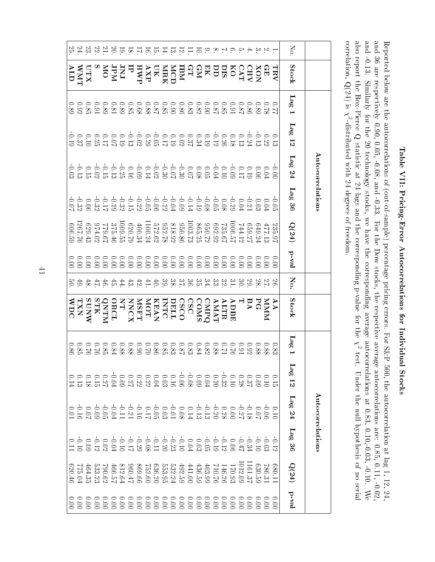# Table VII: Pricing-Error Autocorrelations for IndividualStocks

Reported below arethe<br> autocorrelations of (out-of-sample) percentage pricing errors. For $58\,$  500,the<br> autocorrelation $\stackrel{\infty}{\mathbf{1}}$  lagب. 12, 24, andజ e<br>Jo respectively $0.90,$  0.05, -0.08, and $\frac{0}{33}$  For the Dow stocks, the respective average autocorrelations are: 0.85, 0.11, $\sim 0.02$ and $\frac{1}{3}$  Similarly for the29 technology stocks,≳<br>∂ have the corresponding average autocorrelations $\overset{\mathbf{p}}{+}$  0.83, 0.10,-0.03, $-0.10$ also report the Box-Piercek. statistic $\frac{\infty}{1}$ 24 lags and the corresponding p-value forse<br>Se  $\lesssim$  2 test. Under the $\mathbb{P}^1$  hypothesis $\Xi$  no serial correlation, $Q(24)$  is  $\chi^2$ -distributed with24 degrees $\Xi$ freedom.

|                      |                              |         |                       | Autocorrelations |        |                                                                                                                                                                                                                                                                                                |                                                                              |                     |                                                                                                                                  |              |            | Autocorrelations |        |                                                                                                                                                                                                                                                                                             |                                                                              |
|----------------------|------------------------------|---------|-----------------------|------------------|--------|------------------------------------------------------------------------------------------------------------------------------------------------------------------------------------------------------------------------------------------------------------------------------------------------|------------------------------------------------------------------------------|---------------------|----------------------------------------------------------------------------------------------------------------------------------|--------------|------------|------------------|--------|---------------------------------------------------------------------------------------------------------------------------------------------------------------------------------------------------------------------------------------------------------------------------------------------|------------------------------------------------------------------------------|
| Σο                   | Stock                        | Lag $1$ | Lag<br>$\overline{2}$ | Lag $24\,$       | Lag 36 | Q(24)                                                                                                                                                                                                                                                                                          | $\mathop{\rm I}\nolimits^{\mathop{\rm ex}\nolimits-\mathop{\rm d}\nolimits}$ | ${\rm No}$          | Stock                                                                                                                            | $\rm{Lag}$ 1 | Lag $12\,$ | Lag $24$         | Lag 36 | Q(24)                                                                                                                                                                                                                                                                                       | $\mathop{\rm I}\nolimits^{\mathop{\rm ex}\nolimits-\mathop{\rm d}\nolimits}$ |
|                      |                              |         |                       |                  |        |                                                                                                                                                                                                                                                                                                |                                                                              |                     |                                                                                                                                  |              |            |                  |        |                                                                                                                                                                                                                                                                                             |                                                                              |
|                      |                              |         |                       |                  |        |                                                                                                                                                                                                                                                                                                |                                                                              |                     | AA<br>MIMIN<br>PG<br>BA                                                                                                          |              |            |                  |        |                                                                                                                                                                                                                                                                                             |                                                                              |
|                      |                              |         |                       |                  |        |                                                                                                                                                                                                                                                                                                |                                                                              |                     |                                                                                                                                  |              |            |                  |        |                                                                                                                                                                                                                                                                                             |                                                                              |
|                      |                              |         |                       |                  |        |                                                                                                                                                                                                                                                                                                |                                                                              |                     |                                                                                                                                  |              |            |                  |        |                                                                                                                                                                                                                                                                                             |                                                                              |
|                      |                              |         |                       |                  |        |                                                                                                                                                                                                                                                                                                |                                                                              |                     |                                                                                                                                  |              |            |                  |        |                                                                                                                                                                                                                                                                                             |                                                                              |
|                      |                              |         |                       |                  |        |                                                                                                                                                                                                                                                                                                |                                                                              |                     |                                                                                                                                  |              |            |                  |        |                                                                                                                                                                                                                                                                                             |                                                                              |
|                      |                              |         |                       |                  |        |                                                                                                                                                                                                                                                                                                |                                                                              |                     |                                                                                                                                  |              |            |                  |        |                                                                                                                                                                                                                                                                                             |                                                                              |
|                      |                              |         |                       |                  |        |                                                                                                                                                                                                                                                                                                |                                                                              |                     |                                                                                                                                  |              |            |                  |        |                                                                                                                                                                                                                                                                                             |                                                                              |
|                      |                              |         |                       |                  |        |                                                                                                                                                                                                                                                                                                |                                                                              |                     |                                                                                                                                  |              |            |                  |        |                                                                                                                                                                                                                                                                                             |                                                                              |
|                      |                              |         |                       |                  |        |                                                                                                                                                                                                                                                                                                |                                                                              |                     |                                                                                                                                  |              |            |                  |        |                                                                                                                                                                                                                                                                                             |                                                                              |
|                      |                              |         |                       |                  |        |                                                                                                                                                                                                                                                                                                |                                                                              | 2022333333333333334 |                                                                                                                                  |              |            |                  |        |                                                                                                                                                                                                                                                                                             |                                                                              |
|                      |                              |         |                       |                  |        |                                                                                                                                                                                                                                                                                                |                                                                              |                     |                                                                                                                                  |              |            |                  |        |                                                                                                                                                                                                                                                                                             |                                                                              |
|                      |                              |         |                       |                  |        |                                                                                                                                                                                                                                                                                                |                                                                              |                     |                                                                                                                                  |              |            |                  |        |                                                                                                                                                                                                                                                                                             |                                                                              |
|                      |                              |         |                       |                  |        |                                                                                                                                                                                                                                                                                                |                                                                              |                     |                                                                                                                                  |              |            |                  |        |                                                                                                                                                                                                                                                                                             |                                                                              |
|                      |                              |         |                       |                  |        |                                                                                                                                                                                                                                                                                                |                                                                              |                     |                                                                                                                                  |              |            |                  |        |                                                                                                                                                                                                                                                                                             |                                                                              |
|                      |                              |         |                       |                  |        |                                                                                                                                                                                                                                                                                                |                                                                              | $\overline{L}$      |                                                                                                                                  |              |            |                  |        |                                                                                                                                                                                                                                                                                             |                                                                              |
|                      |                              |         |                       |                  |        |                                                                                                                                                                                                                                                                                                |                                                                              |                     |                                                                                                                                  |              |            |                  |        |                                                                                                                                                                                                                                                                                             |                                                                              |
|                      |                              |         |                       |                  |        |                                                                                                                                                                                                                                                                                                |                                                                              |                     |                                                                                                                                  |              |            |                  |        |                                                                                                                                                                                                                                                                                             |                                                                              |
|                      |                              |         |                       |                  |        |                                                                                                                                                                                                                                                                                                |                                                                              | 3.372               |                                                                                                                                  |              |            |                  |        |                                                                                                                                                                                                                                                                                             |                                                                              |
|                      |                              |         |                       |                  |        |                                                                                                                                                                                                                                                                                                |                                                                              |                     |                                                                                                                                  |              |            |                  |        |                                                                                                                                                                                                                                                                                             |                                                                              |
|                      |                              |         |                       |                  |        |                                                                                                                                                                                                                                                                                                |                                                                              | 3730                |                                                                                                                                  |              |            |                  |        |                                                                                                                                                                                                                                                                                             |                                                                              |
|                      |                              |         |                       |                  |        |                                                                                                                                                                                                                                                                                                |                                                                              |                     |                                                                                                                                  |              |            |                  |        |                                                                                                                                                                                                                                                                                             |                                                                              |
|                      |                              |         |                       |                  |        |                                                                                                                                                                                                                                                                                                |                                                                              |                     |                                                                                                                                  |              |            |                  |        |                                                                                                                                                                                                                                                                                             |                                                                              |
| 生50780mmははは丘丘BOM2233 | ERX OKE HEXHEOKBERG BROSHOWE |         |                       |                  |        | $\begin{array}{cccc} 235.97 \\ 477.13 \\ 236.93 \\ 120.98 \\ 120.99 \\ 120.99 \\ 120.99 \\ 120.99 \\ 120.99 \\ 120.99 \\ 120.99 \\ 120.99 \\ 120.99 \\ 120.99 \\ 120.99 \\ 120.99 \\ 120.99 \\ 120.99 \\ 120.99 \\ 120.99 \\ 120.99 \\ 120.99 \\ 120.99 \\ 120.99 \\ 120.99 \\ 120.99 \\ 120.$ |                                                                              |                     | T ANAFQ<br>ANAFQS<br>ANAFQS<br>ANAFQS<br>ANAFA SURIS<br>SURIST<br>TING COOS<br>SURIST<br>TING COOS<br>SURIST<br>SURIST<br>SURIST |              |            |                  |        | $\begin{array}{l} 680.11 \\ 630.87 \\ 830.88 \\ 1101.21 \\ 121.22 \\ 132.23 \\ 143.24 \\ 154.25 \\ 165.26 \\ 175.27 \\ 185.27 \\ 195.28 \\ 195.29 \\ 195.29 \\ 195.29 \\ 195.29 \\ 195.29 \\ 195.29 \\ 195.29 \\ 195.29 \\ 195.29 \\ 195.29 \\ 195.29 \\ 195.29 \\ 195.29 \\ 195.29 \\ 195$ |                                                                              |
|                      |                              |         |                       |                  |        |                                                                                                                                                                                                                                                                                                |                                                                              | S.                  |                                                                                                                                  |              |            |                  |        |                                                                                                                                                                                                                                                                                             |                                                                              |

41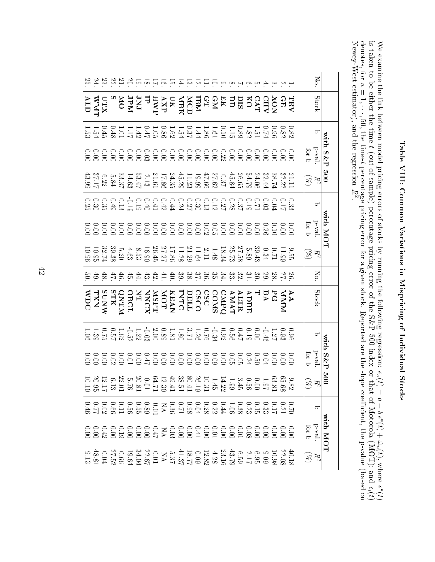### Table VIII: Common Variations $\Xi.$  Mispricing of IndividualStocks

We examine the link between model pricing errors of stocks $\mathrm{S}$  runningthe<br> following regression:  $\epsilon_n(t)$  $_{\rm H}$  =  $\Omega$  $\overline{a}$  $+$   $\theta \epsilon^*(t) +$  $\tilde{\omega}_n(t),$  where  $\epsilon^*(t)$ is taken toa<br>S either theeeu u<br>time-t (out-of-sample) percentage pricing error ofthe<br>  $4\%$  500 index or that of Motorola (MOT);ang<br>ang  $\sum_{\epsilon_i(t)}$ denotes, for  $\approx$   $\, \times$  . ¦ — '  $\cdots$  50, the time-t percentage pricing error for a given stock. Reported arethe<br> slopecoefficient, the<br> p-value (basede Ge Newey-West estimator), andthe<br> regression<br>1et percel<br>regression  $R_2^2$ 

|                           |                                                                                                                                                                                                                                   |                                                                                                                                                            | $S\&P$           | 009                     |   | with MOT        |                                                                                                    |     |       | with | $-5k$                      | 00 <sup>2</sup> |   | $\frac{100}{100}$ |                         |
|---------------------------|-----------------------------------------------------------------------------------------------------------------------------------------------------------------------------------------------------------------------------------|------------------------------------------------------------------------------------------------------------------------------------------------------------|------------------|-------------------------|---|-----------------|----------------------------------------------------------------------------------------------------|-----|-------|------|----------------------------|-----------------|---|-------------------|-------------------------|
| No                        | Stock                                                                                                                                                                                                                             |                                                                                                                                                            |                  | Ŗ                       | ○ |                 |                                                                                                    | No. | Stock | ▽    |                            |                 | ᠳ |                   | Ę                       |
|                           |                                                                                                                                                                                                                                   |                                                                                                                                                            | p-val.<br>b-val. | $\mathcal{\mathcal{S}}$ |   | p-val.<br>Level | द्ध श्रु                                                                                           |     |       |      | $_{\rm 10}^{\rm 1-}$ tor b | फू<br>शु        |   | p-val.<br>Isv-q   | $\mathcal{\mathcal{S}}$ |
|                           |                                                                                                                                                                                                                                   |                                                                                                                                                            |                  |                         |   |                 |                                                                                                    |     |       |      |                            |                 |   |                   |                         |
|                           |                                                                                                                                                                                                                                   |                                                                                                                                                            |                  |                         |   |                 |                                                                                                    |     |       |      |                            |                 |   |                   |                         |
|                           |                                                                                                                                                                                                                                   |                                                                                                                                                            |                  |                         |   |                 |                                                                                                    |     |       |      |                            |                 |   |                   |                         |
|                           |                                                                                                                                                                                                                                   |                                                                                                                                                            |                  |                         |   |                 |                                                                                                    |     |       |      |                            |                 |   |                   |                         |
| 123456789m12345mmmmmmm333 | FIX SHIRKA SHIRKA SHIRKA SHIRKA SHIRKA SHIRKA SHIRKA SHIRKA SHIRKA SHIRKA SHIRKA SHIRKA SHIRKA SHIRKA SHIRKA S<br>GALLAD SHIRKA SHIRKA SHIRKA SHIRKA SHIRKA SHIRKA SHIRKA SHIRKA SHIRKA SHIRKA SHIRKA SHIRKA SHIRKA SHIRKA SHIRKA | 0 0 0 0 0 1 1 0 1 0 1 1 1 0 1 1 0 1 1 0 1 1 1 1 0 0 0 0 1 1 1<br>20 20 21 12 20 21 1 0 2 2 4 5 4 7 4 7 8 2 6 7 4 7 4 7 4 7 5 2 6 7 4 7 4 7 6 7 7 7 8 7 7 8 |                  |                         |   |                 | 9.110.03% 5.25% 7.111111128.98% 4.5.33% 1111<br>5.35.74% 4.38% 7.34% 1123.8% 7.4.9% 7.9% 7.9% 7.9% |     |       |      |                            |                 |   |                   |                         |
|                           |                                                                                                                                                                                                                                   |                                                                                                                                                            |                  |                         |   |                 |                                                                                                    |     |       |      |                            |                 |   |                   |                         |
|                           |                                                                                                                                                                                                                                   |                                                                                                                                                            |                  |                         |   |                 |                                                                                                    |     |       |      |                            |                 |   |                   |                         |
|                           |                                                                                                                                                                                                                                   |                                                                                                                                                            |                  |                         |   |                 |                                                                                                    |     |       |      |                            |                 |   |                   |                         |
|                           |                                                                                                                                                                                                                                   |                                                                                                                                                            |                  |                         |   |                 |                                                                                                    |     |       |      |                            |                 |   |                   |                         |
|                           |                                                                                                                                                                                                                                   |                                                                                                                                                            |                  |                         |   |                 |                                                                                                    |     |       |      |                            |                 |   |                   |                         |
|                           |                                                                                                                                                                                                                                   |                                                                                                                                                            |                  |                         |   |                 |                                                                                                    |     |       |      |                            |                 |   |                   |                         |
|                           |                                                                                                                                                                                                                                   |                                                                                                                                                            |                  |                         |   |                 |                                                                                                    |     |       |      |                            |                 |   |                   |                         |
|                           |                                                                                                                                                                                                                                   |                                                                                                                                                            |                  |                         |   |                 |                                                                                                    |     |       |      |                            |                 |   |                   |                         |
|                           |                                                                                                                                                                                                                                   |                                                                                                                                                            |                  |                         |   |                 |                                                                                                    |     |       |      |                            |                 |   |                   |                         |
|                           |                                                                                                                                                                                                                                   |                                                                                                                                                            |                  |                         |   |                 |                                                                                                    |     |       |      |                            |                 |   |                   |                         |
|                           |                                                                                                                                                                                                                                   |                                                                                                                                                            |                  |                         |   |                 |                                                                                                    |     |       |      |                            |                 |   |                   |                         |
|                           |                                                                                                                                                                                                                                   |                                                                                                                                                            |                  |                         |   |                 |                                                                                                    |     |       |      |                            |                 |   |                   |                         |
|                           |                                                                                                                                                                                                                                   |                                                                                                                                                            |                  |                         |   |                 |                                                                                                    |     |       |      |                            |                 |   |                   |                         |
|                           |                                                                                                                                                                                                                                   |                                                                                                                                                            |                  |                         |   |                 |                                                                                                    |     |       |      |                            |                 |   |                   |                         |
|                           |                                                                                                                                                                                                                                   |                                                                                                                                                            |                  |                         |   |                 |                                                                                                    |     |       |      |                            |                 |   |                   |                         |
|                           |                                                                                                                                                                                                                                   |                                                                                                                                                            |                  |                         |   |                 |                                                                                                    |     |       |      |                            |                 |   |                   |                         |
|                           |                                                                                                                                                                                                                                   |                                                                                                                                                            |                  |                         |   |                 |                                                                                                    |     |       |      |                            |                 |   |                   |                         |
|                           |                                                                                                                                                                                                                                   |                                                                                                                                                            |                  |                         |   |                 |                                                                                                    |     |       |      |                            |                 |   |                   |                         |
|                           |                                                                                                                                                                                                                                   |                                                                                                                                                            |                  |                         |   |                 |                                                                                                    |     |       |      |                            |                 |   |                   |                         |
|                           |                                                                                                                                                                                                                                   |                                                                                                                                                            |                  |                         |   |                 |                                                                                                    |     |       |      |                            |                 |   |                   |                         |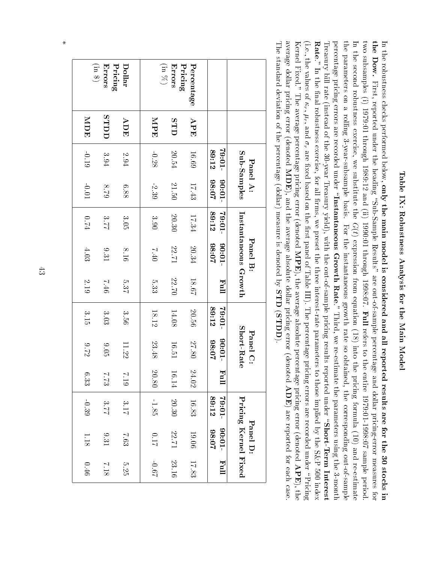### Table IX: Robustness Analysis for $\thinspace \ln$  MainModel

Inthe<br> robustness checks performed below, onlythe<br> main model is considered and all reported results are for the<u>بع</u> stocks $\Xi$ . the Dow. First, reported underthe<br> heading  $\operatorname{sgn}$ due $\operatorname{S}_3$  $\operatorname{Results}$ " are out-of-sample percentage and dollar pricing-error measures for two subsamples $\bigoplus$  1979:01 through 1989:12 and $\widehat{\Xi}$  1990:01 through 1998:07.  $\Xi$  . refers tothe<br> entire 1979:01-1998:07 sample period. E, the second robustness exercise, we substitutet<br>Fe  $G(t)$  expression from equation (18) into the pricing formula (10) andrple period.<br>re-estimate the<br> parameters on a rolling 3-year-subsample basis. For the instantaneous growth rate so obtained,the<br> corresponding out-of-sample percentage pricing errors are recorded under  $\sup_{\mathbf{S}}\mathbf{C}=\mathbf{C}$  Growth Rate." Third,≳<br>∂ re-estimate the parameters using the 3-month Treasury $\Xi$  rate (insteadቧ<br>ት the 30-year Treasury yield), with the out-of-sample pricing results reported under  $\operatorname{tr}$ -Term 3-month<br>Interest Rate." Inthe<br> nal robustness exercise, for $\stackrel{\circ}{=}$  rms,≳<br>∂ preset the three interest-rate parameters to those implied $\mathbf{\hat{S}}$  the $58\,\rm{P}$ <u>00</u> erest<br>index (i.e., the values $\Xi$ r , r ,and<br>and ہ<br>م a<br>Te xed based on the rst panel of Table III). The percentage pricing errors are recorded under  $\mathop{\rm diag}\limits_{\mathop{\rm tr}\nolimits} {\bf d}$  is  $\mathop{\rm tr}\nolimits\limits_{\mathop{\rm tr}\nolimits}$ Kernel Fixed." The average percentage pricing error (denoted MPE), the average absolute percentage pricing error (denoted APE), the average dollar pricing error (denoted MDE), andthe<br> average absolute dollar pricing error (denoted ADE) are reported for each case. The standard deviationቧ<br>ት the percentage (dollar) measure is denotedلية في aver:<br>ollar<br>STD (STDD).

|                  | $(\mathrm{in}~\mathrm{\$\})$<br>Errors | Pricing<br>Dollar | $(\mathrm{m}~\%)$ | Pricing<br>Errors | Percentage |                   |                                  |
|------------------|----------------------------------------|-------------------|-------------------|-------------------|------------|-------------------|----------------------------------|
| MDE              | STDI                                   | ADE               | MPE               | <b>CLLS</b>       | APE        |                   |                                  |
| $-0.19$          | 3.94                                   | 2.94              | $-0.28$           | 20.54             | 16.69      | $-10:62$<br>89:12 | Sub-Samples<br>Panel A:          |
| 10.01            | 62.8                                   | 88.9              | $-2.39$           | 21.50             | 17.43      | $-10:06$<br>10:86 |                                  |
| $\sqrt{120}$     | 77.8                                   | 3.05              | 3.90              | 20.30             | 17.34      | 89:12<br>$-10:62$ |                                  |
| 4.03             | 6.31                                   | 8.16              | $-1.40$           | 12.21             | 20.34      | $-10:06$<br>10:86 | Instantaneous Growth<br>Panel B: |
| 2.19             | $7.46$                                 | 2.37              | 5.33              | 22.70             | 18.67      | $\mathbb{H}^1$    |                                  |
| $\frac{3}{2.15}$ | 3.03                                   | 3.56              | 18.12             | 14.08             | 20.56      | $-10:62$<br>89:12 |                                  |
| 6.72             | $-0.05$                                | 11.22             | 23.48             | 16.51             | 27.80      | $-10:06$<br>10:86 | Short-Rate<br>Panel C:           |
| 6.33             | 222                                    | 612               | 20.80             | $16.14\,$         | $24.02\,$  | Full              |                                  |
| $-0.39$          | 22.5                                   | 3.17              | $-1.85$           | 20.30             | 16.83      | $-10:62$<br>89:12 |                                  |
| 1.18             | 9.31                                   | 2.63              | 110               | 12.21             | 19.06      | $-10:06$<br>10:86 | Pricing Kernel Fixed<br>Panel D: |
| 0.46             | 7.18                                   | 5.25              | 19.0              | 23.16             | 17.83      | $\mathbb{H}^1$    |                                  |

 $\frac{4}{3}$ 

 $\star$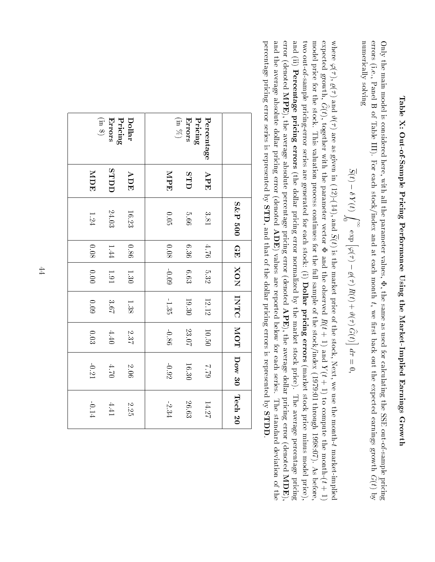# Table X: Out-of-Sample Pricing Performance Using $\thinspace \ln$  Market-Implied EarningsGrowth

Onlythe<br> main model is considered here, with $\overset{\mathtt{p}}{=}$ the<br> parameter values, $\theta$ the<br> samee.<br>G used for calculatingthe<br> SSE out-of-sample pricing errors (i.e., Panel $\Xi$  $\Xi$  Table III). For each stock/index and $\stackrel{\infty}{\mathbf{+}}$  each $,\Phi,\thinspace$ th $\thinspace$  $\mathbf{f}$  we rst back out the expected earnings growth  $\widetilde{G}(t)$ ਬ ਲ numerically solving । ⊨ । ≌ +

or each stock/index and at each month 
$$
t
$$
, we first back out  $t$ .

\n
$$
\overline{S}(t) - \delta Y(t) \int_0^\infty \exp\left[\varphi(\tau) - \varrho(\tau) R(t) + \vartheta(\tau) \hat{G}(t)\right] d\tau = 0,
$$
\nen in (12)-(14), and  $\overline{S}(t)$  is the market price of the stock. Now

where  $\varphi(\tau),$  $\varrho(\tau)$  and  $\vartheta(\tau)$  are as givenin.  $(12)-(14),$  $S(t)$  is the market price of the stock, Next, $\lessapprox$  use the $t_{\rm 1}$  in one the  $t_{\rm 1}$ market-implied expected $\begin{array}{c} \therefore \mathbb{R} \ \mathbb{R} \ \text{growth}, \end{array}$  $\widetilde{G}(t),$  together with the parameter vectorФ and the observed n<br>R(t +ات 유<br>도구<br>그대  $\leq$   $\approx$  $\mathcal{L}$  is +ات to compute themonth-(*t*  $^+$ 1) ڪ model price for the stock. This valuation process continues for the full sample $\Xi$  the stock/index (1979:01 through 1998:07). As before, two out-of-sample pricing-error series are generated for each stock: $\odot$  E Dollar pricing<sub>ock/ind</sub><br>errors (market stock price minus model price), and $\widehat{\Xi}$  is Percentage pricingerries<br>errors (the dollar pricing error normalized $\mathrm{S}$  the market stock price). The average percentage pricing errorii) Perce<br>(denoted MPE), the average absolute percentage pricing errorlized by<br>denoted APE), the average dollar pricing error (denoted MDE), and the average absolute dollar pricing error (denoted ADE) values are reported below for each series. The standard deviation ofب<br>جي ج percentage pricing error series is represented $\Xi \supset$ STD, and thatቧ<br>ት the dollar pricing errors is represented by STDD.

|          | $\begin{array}{c} {\rm \bf Errors} \\ {\rm \bf (in 3)} \end{array}$<br>Pricing | <b>Dollar</b> | $(\mathop{\mathrm{m}}\nolimits$ %) | Pricing<br>Errors | Percentage |                    |  |
|----------|--------------------------------------------------------------------------------|---------------|------------------------------------|-------------------|------------|--------------------|--|
| MDE      | <b>STDD</b>                                                                    | ADE           | MPE                                | <b>CLLS</b>       | APE        |                    |  |
| 1.24     | 24.03                                                                          | $16.23\,$     | 0.05                               | 999               | 3.81       | <b>S&amp;P 500</b> |  |
| $0.08\,$ | $1.44\,$                                                                       | $0.86\,$      | $0.08\,$                           | 6.36              | 4.76       | GE                 |  |
| 00.00    | 1.91                                                                           | 1.30          | $60.04$                            | 6.63              | 5.32       | <b>XON</b>         |  |
| $0.09$   | $2.67\,$                                                                       | $1.38\,$      | $-1.35$                            | 19.30             | 12.12      | <b>LNTC</b>        |  |
| 0.03     | $4.40$                                                                         | 2.37          | 0.86                               | 23.07             | 10.50      | <b>NOT</b>         |  |
| $-0.21$  | 4.70                                                                           | $2.06$        | $-0.92$                            | 16.30             | $62.2$     | Dow 30             |  |
| $-0.14$  | $4.41$                                                                         | 2.25          | $-2.34$                            | 26.63             | 14.27      | $\vert$ Tech 20    |  |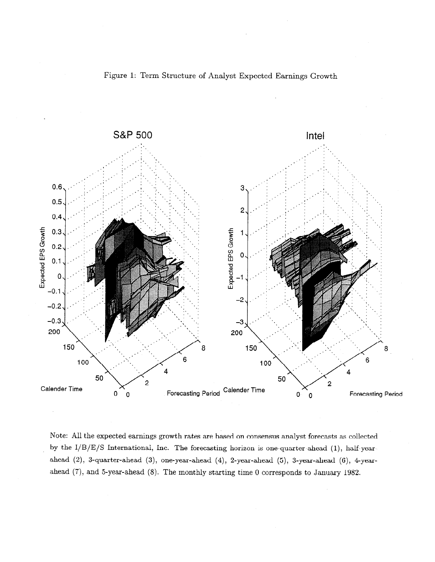



Note: All the expected earnings growth rates are based on consensus analyst forecasts as collected by the  $I/B/E/S$  International, Inc. The forecasting horizon is one-quarter-ahead (1), half-yearahead (2), 3-quarter-ahead (3), one-year-ahead (4), 2-year-ahead (5), 3-year-ahead (6), 4-yearahead (7), and 5-year-ahead (8). The monthly starting time 0 corresponds to January 1982.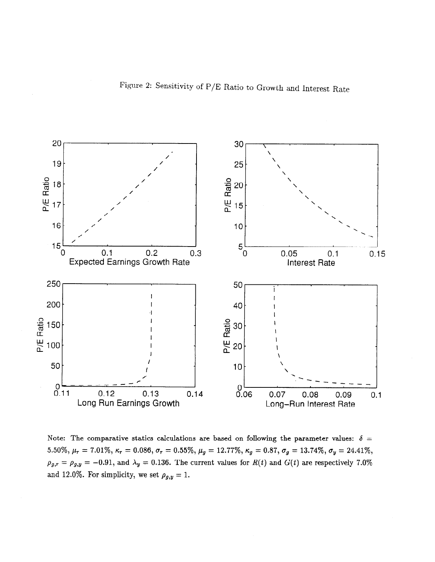

Note: The comparative statics calculations are based on following the parameter values:  $\delta$  = 5.50%,  $\mu_r = 7.01\%$ ,  $\kappa_r = 0.086$ ,  $\sigma_r = 0.55\%$ ,  $\mu_g = 12.77\%$ ,  $\kappa_g = 0.87$ ,  $\sigma_g = 13.74\%$ ,  $\sigma_y = 24.41\%$ ,  $\rho_{g,r} = \rho_{g,y} = -0.91$ , and  $\lambda_y = 0.136$ . The current values for  $R(t)$  and  $G(t)$  are respectively 7.0% and 12.0%. For simplicity, we set  $\rho_{g,y} = 1$ .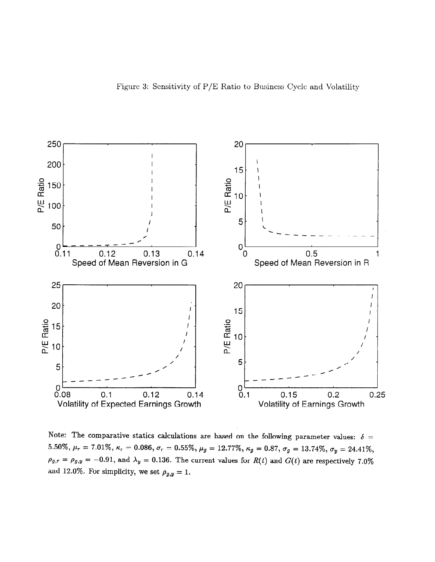Figure 3: Sensitivity of P/E Ratio to Business Cycle and Volatility



Note: The comparative statics calculations are based on the following parameter values:  $\delta =$ 5.50%,  $\mu_r = 7.01\%$ ,  $\kappa_r = 0.086$ ,  $\sigma_r = 0.55\%$ ,  $\mu_g = 12.77\%$ ,  $\kappa_g = 0.87$ ,  $\sigma_g = 13.74\%$ ,  $\sigma_y = 24.41\%$ ,  $\rho_{g,r} = \rho_{g,y} = -0.91$ , and  $\lambda_y = 0.136$ . The current values for  $R(t)$  and  $G(t)$  are respectively 7.0% and 12.0%. For simplicity, we set  $\rho_{g,y} = 1$ .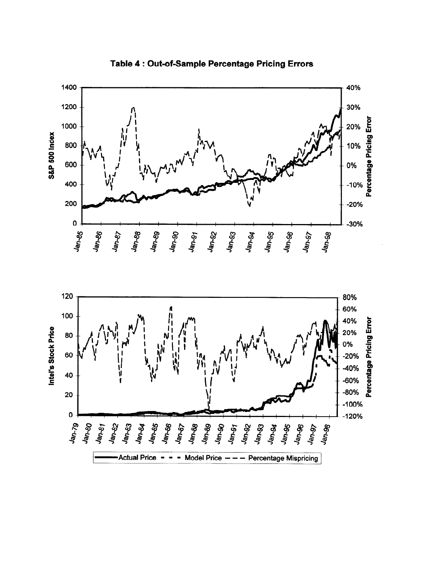

Table 4 : Out-of-Sample Percentage Pricing Errors